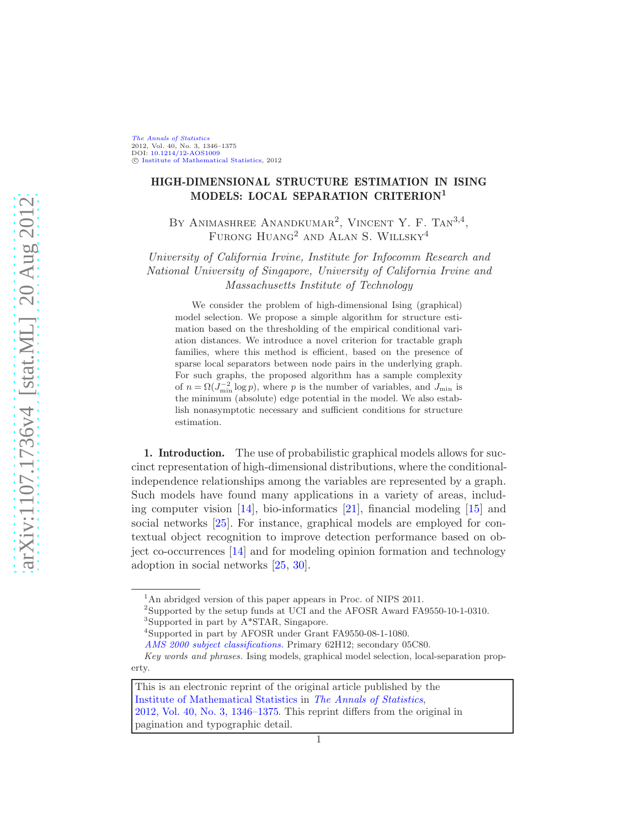[The Annals of Statistics](http://www.imstat.org/aos/) 2012, Vol. 40, No. 3, 1346–1375 DOI: [10.1214/12-AOS1009](http://dx.doi.org/10.1214/12-AOS1009) C [Institute of Mathematical Statistics,](http://www.imstat.org) 2012

# HIGH-DIMENSIONAL STRUCTURE ESTIMATION IN ISING MODELS: LOCAL SEPARATION CRITERION<sup>1</sup>

BY ANIMASHREE ANANDKUMAR<sup>2</sup>, VINCENT Y. F. TAN<sup>3,4</sup>, FURONG  $H$ uang<sup>2</sup> and Alan S. Willsky<sup>4</sup>

University of California Irvine, Institute for Infocomm Research and National University of Singapore, University of California Irvine and Massachusetts Institute of Technology

We consider the problem of high-dimensional Ising (graphical) model selection. We propose a simple algorithm for structure estimation based on the thresholding of the empirical conditional variation distances. We introduce a novel criterion for tractable graph families, where this method is efficient, based on the presence of sparse local separators between node pairs in the underlying graph. For such graphs, the proposed algorithm has a sample complexity of  $n = \Omega(J_{\min}^{-2} \log p)$ , where p is the number of variables, and  $J_{\min}$  is the minimum (absolute) edge potential in the model. We also establish nonasymptotic necessary and sufficient conditions for structure estimation.

1. Introduction. The use of probabilistic graphical models allows for succinct representation of high-dimensional distributions, where the conditionalindependence relationships among the variables are represented by a graph. Such models have found many applications in a variety of areas, including computer vision [\[14\]](#page-28-0), bio-informatics [\[21\]](#page-28-1), financial modeling [\[15](#page-28-2)] and social networks [\[25](#page-28-3)]. For instance, graphical models are employed for contextual object recognition to improve detection performance based on object co-occurrences [\[14\]](#page-28-0) and for modeling opinion formation and technology adoption in social networks [\[25,](#page-28-3) [30](#page-29-0)].

<sup>&</sup>lt;sup>1</sup>An abridged version of this paper appears in Proc. of NIPS 2011.

<sup>&</sup>lt;sup>2</sup>Supported by the setup funds at UCI and the AFOSR Award FA9550-10-1-0310. 3 Supported in part by A\*STAR, Singapore.

<sup>4</sup> Supported in part by AFOSR under Grant FA9550-08-1-1080.

*[AMS 2000 subject classifications.](http://www.ams.org/msc/)* Primary 62H12; secondary 05C80.

*Key words and phrases.* Ising models, graphical model selection, local-separation property.

This is an electronic reprint of the original article published by the [Institute of Mathematical Statistics](http://www.imstat.org) in [The Annals of Statistics](http://www.imstat.org/aos/), [2012, Vol. 40, No. 3, 1346–1375.](http://dx.doi.org/10.1214/12-AOS1009) This reprint differs from the original in pagination and typographic detail.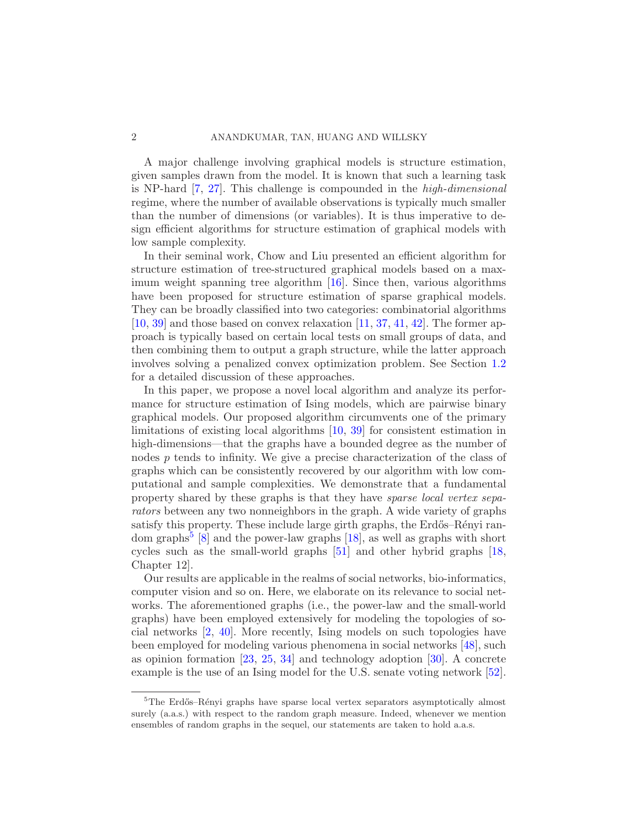A major challenge involving graphical models is structure estimation, given samples drawn from the model. It is known that such a learning task is NP-hard [\[7,](#page-28-4) [27](#page-29-1)]. This challenge is compounded in the high-dimensional regime, where the number of available observations is typically much smaller than the number of dimensions (or variables). It is thus imperative to design efficient algorithms for structure estimation of graphical models with low sample complexity.

In their seminal work, Chow and Liu presented an efficient algorithm for structure estimation of tree-structured graphical models based on a maximum weight spanning tree algorithm [\[16](#page-28-5)]. Since then, various algorithms have been proposed for structure estimation of sparse graphical models. They can be broadly classified into two categories: combinatorial algorithms  $[10, 39]$  $[10, 39]$  $[10, 39]$  $[10, 39]$  and those based on convex relaxation  $[11, 37, 41, 42]$  $[11, 37, 41, 42]$  $[11, 37, 41, 42]$  $[11, 37, 41, 42]$  $[11, 37, 41, 42]$  $[11, 37, 41, 42]$  $[11, 37, 41, 42]$ . The former approach is typically based on certain local tests on small groups of data, and then combining them to output a graph structure, while the latter approach involves solving a penalized convex optimization problem. See Section [1.2](#page-4-0) for a detailed discussion of these approaches.

In this paper, we propose a novel local algorithm and analyze its performance for structure estimation of Ising models, which are pairwise binary graphical models. Our proposed algorithm circumvents one of the primary limitations of existing local algorithms [\[10](#page-28-6), [39](#page-29-2)] for consistent estimation in high-dimensions—that the graphs have a bounded degree as the number of nodes  $p$  tends to infinity. We give a precise characterization of the class of graphs which can be consistently recovered by our algorithm with low computational and sample complexities. We demonstrate that a fundamental property shared by these graphs is that they have sparse local vertex separators between any two nonneighbors in the graph. A wide variety of graphs satisfy this property. These include large girth graphs, the Erdős–Rényi ran-dom graphs<sup>[5](#page-1-0)</sup> [\[8\]](#page-28-8) and the power-law graphs [\[18](#page-28-9)], as well as graphs with short cycles such as the small-world graphs [\[51](#page-30-0)] and other hybrid graphs [\[18](#page-28-9), Chapter 12].

Our results are applicable in the realms of social networks, bio-informatics, computer vision and so on. Here, we elaborate on its relevance to social networks. The aforementioned graphs (i.e., the power-law and the small-world graphs) have been employed extensively for modeling the topologies of social networks [\[2,](#page-27-0) [40](#page-29-6)]. More recently, Ising models on such topologies have been employed for modeling various phenomena in social networks [\[48](#page-30-1)], such as opinion formation [\[23](#page-28-10), [25](#page-28-3), [34](#page-29-7)] and technology adoption [\[30\]](#page-29-0). A concrete example is the use of an Ising model for the U.S. senate voting network [\[52](#page-30-2)].

<span id="page-1-0"></span><sup>&</sup>lt;sup>5</sup>The Erdős–Rényi graphs have sparse local vertex separators asymptotically almost surely (a.a.s.) with respect to the random graph measure. Indeed, whenever we mention ensembles of random graphs in the sequel, our statements are taken to hold a.a.s.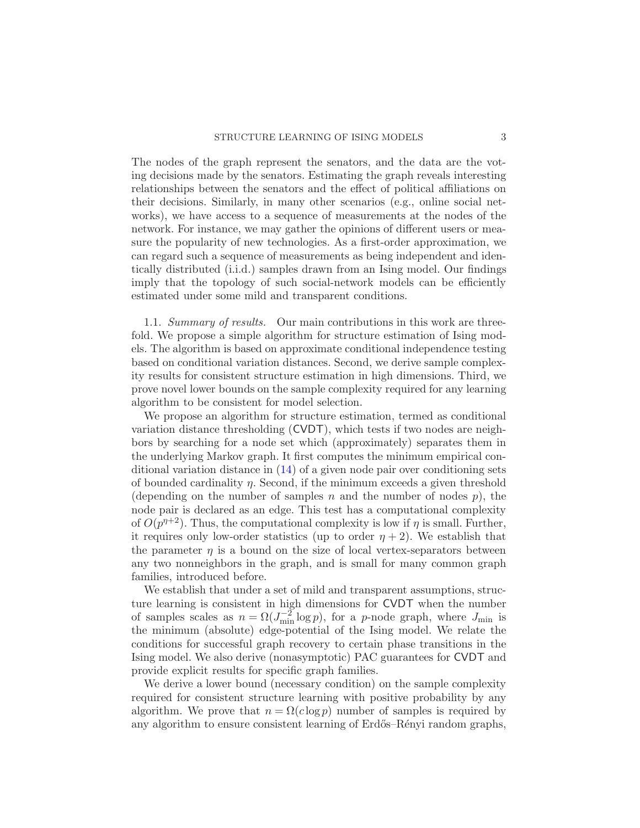The nodes of the graph represent the senators, and the data are the voting decisions made by the senators. Estimating the graph reveals interesting relationships between the senators and the effect of political affiliations on their decisions. Similarly, in many other scenarios (e.g., online social networks), we have access to a sequence of measurements at the nodes of the network. For instance, we may gather the opinions of different users or measure the popularity of new technologies. As a first-order approximation, we can regard such a sequence of measurements as being independent and identically distributed (i.i.d.) samples drawn from an Ising model. Our findings imply that the topology of such social-network models can be efficiently estimated under some mild and transparent conditions.

1.1. Summary of results. Our main contributions in this work are threefold. We propose a simple algorithm for structure estimation of Ising models. The algorithm is based on approximate conditional independence testing based on conditional variation distances. Second, we derive sample complexity results for consistent structure estimation in high dimensions. Third, we prove novel lower bounds on the sample complexity required for any learning algorithm to be consistent for model selection.

We propose an algorithm for structure estimation, termed as conditional variation distance thresholding (CVDT), which tests if two nodes are neighbors by searching for a node set which (approximately) separates them in the underlying Markov graph. It first computes the minimum empirical conditional variation distance in [\(14\)](#page-7-0) of a given node pair over conditioning sets of bounded cardinality  $\eta$ . Second, if the minimum exceeds a given threshold (depending on the number of samples n and the number of nodes  $p$ ), the node pair is declared as an edge. This test has a computational complexity of  $O(p^{n+2})$ . Thus, the computational complexity is low if  $\eta$  is small. Further, it requires only low-order statistics (up to order  $\eta + 2$ ). We establish that the parameter  $\eta$  is a bound on the size of local vertex-separators between any two nonneighbors in the graph, and is small for many common graph families, introduced before.

We establish that under a set of mild and transparent assumptions, structure learning is consistent in high dimensions for CVDT when the number of samples scales as  $n = \Omega(J_{\min}^{-2} \log p)$ , for a *p*-node graph, where  $J_{\min}$  is the minimum (absolute) edge-potential of the Ising model. We relate the conditions for successful graph recovery to certain phase transitions in the Ising model. We also derive (nonasymptotic) PAC guarantees for CVDT and provide explicit results for specific graph families.

We derive a lower bound (necessary condition) on the sample complexity required for consistent structure learning with positive probability by any algorithm. We prove that  $n = \Omega(c \log p)$  number of samples is required by any algorithm to ensure consistent learning of Erdős–Rényi random graphs,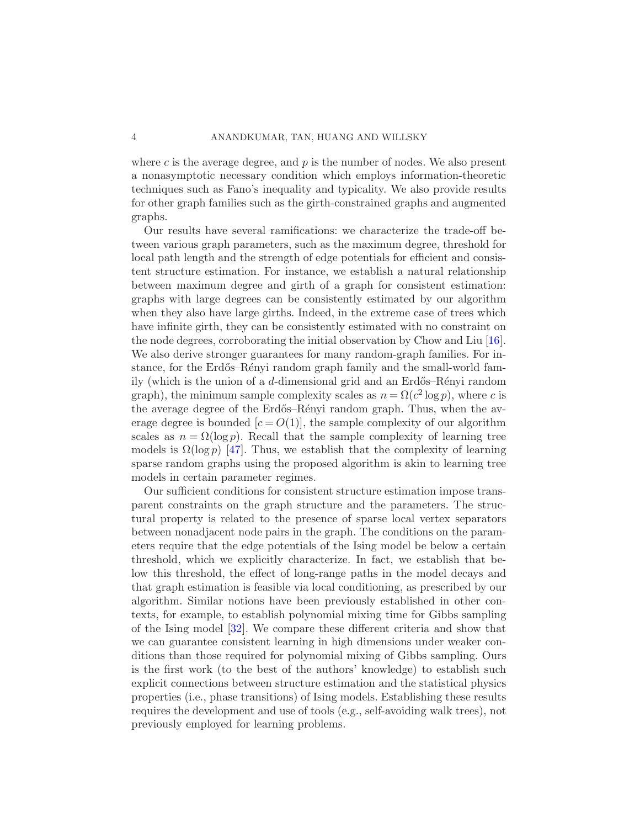where c is the average degree, and  $p$  is the number of nodes. We also present a nonasymptotic necessary condition which employs information-theoretic techniques such as Fano's inequality and typicality. We also provide results for other graph families such as the girth-constrained graphs and augmented graphs.

Our results have several ramifications: we characterize the trade-off between various graph parameters, such as the maximum degree, threshold for local path length and the strength of edge potentials for efficient and consistent structure estimation. For instance, we establish a natural relationship between maximum degree and girth of a graph for consistent estimation: graphs with large degrees can be consistently estimated by our algorithm when they also have large girths. Indeed, in the extreme case of trees which have infinite girth, they can be consistently estimated with no constraint on the node degrees, corroborating the initial observation by Chow and Liu [\[16](#page-28-5)]. We also derive stronger guarantees for many random-graph families. For instance, for the Erdős–Rényi random graph family and the small-world family (which is the union of a d-dimensional grid and an Erdős–Rényi random graph), the minimum sample complexity scales as  $n = \Omega(c^2 \log p)$ , where c is the average degree of the Erdős–Rényi random graph. Thus, when the average degree is bounded  $[c = O(1)]$ , the sample complexity of our algorithm scales as  $n = \Omega(\log p)$ . Recall that the sample complexity of learning tree models is  $\Omega(\log p)$  [\[47](#page-30-3)]. Thus, we establish that the complexity of learning sparse random graphs using the proposed algorithm is akin to learning tree models in certain parameter regimes.

Our sufficient conditions for consistent structure estimation impose transparent constraints on the graph structure and the parameters. The structural property is related to the presence of sparse local vertex separators between nonadjacent node pairs in the graph. The conditions on the parameters require that the edge potentials of the Ising model be below a certain threshold, which we explicitly characterize. In fact, we establish that below this threshold, the effect of long-range paths in the model decays and that graph estimation is feasible via local conditioning, as prescribed by our algorithm. Similar notions have been previously established in other contexts, for example, to establish polynomial mixing time for Gibbs sampling of the Ising model [\[32](#page-29-8)]. We compare these different criteria and show that we can guarantee consistent learning in high dimensions under weaker conditions than those required for polynomial mixing of Gibbs sampling. Ours is the first work (to the best of the authors' knowledge) to establish such explicit connections between structure estimation and the statistical physics properties (i.e., phase transitions) of Ising models. Establishing these results requires the development and use of tools (e.g., self-avoiding walk trees), not previously employed for learning problems.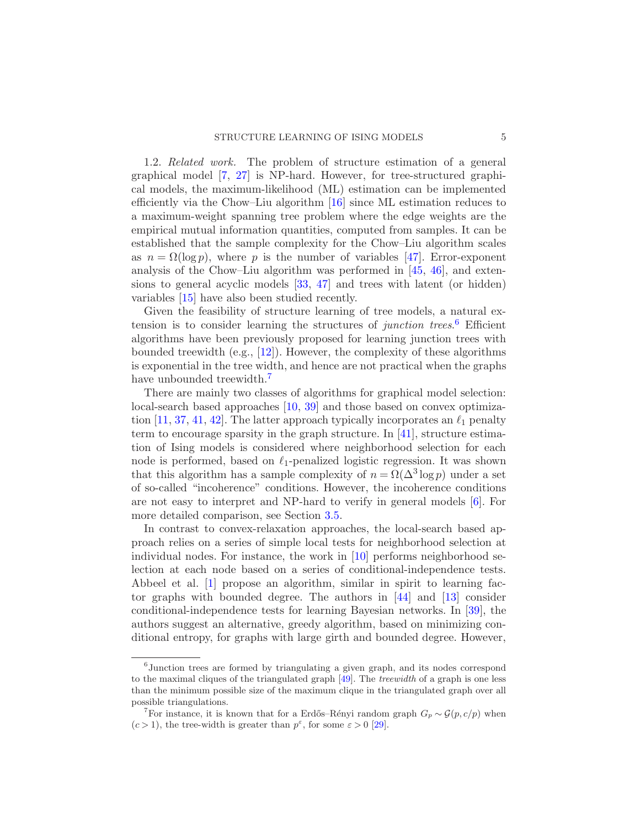<span id="page-4-0"></span>1.2. Related work. The problem of structure estimation of a general graphical model [\[7](#page-28-4), [27\]](#page-29-1) is NP-hard. However, for tree-structured graphical models, the maximum-likelihood (ML) estimation can be implemented efficiently via the Chow–Liu algorithm [\[16\]](#page-28-5) since ML estimation reduces to a maximum-weight spanning tree problem where the edge weights are the empirical mutual information quantities, computed from samples. It can be established that the sample complexity for the Chow–Liu algorithm scales as  $n = \Omega(\log p)$ , where p is the number of variables [\[47](#page-30-3)]. Error-exponent analysis of the Chow–Liu algorithm was performed in [\[45,](#page-29-9) [46\]](#page-30-4), and extensions to general acyclic models [\[33](#page-29-10), [47\]](#page-30-3) and trees with latent (or hidden) variables [\[15](#page-28-2)] have also been studied recently.

Given the feasibility of structure learning of tree models, a natural extension is to consider learning the structures of *junction trees.*<sup>[6](#page-4-1)</sup> Efficient algorithms have been previously proposed for learning junction trees with bounded treewidth (e.g., [\[12\]](#page-28-11)). However, the complexity of these algorithms is exponential in the tree width, and hence are not practical when the graphs have unbounded treewidth.<sup>[7](#page-4-2)</sup>

There are mainly two classes of algorithms for graphical model selection: local-search based approaches [\[10,](#page-28-6) [39](#page-29-2)] and those based on convex optimiza-tion [\[11](#page-28-7), [37](#page-29-3), [41,](#page-29-4) [42\]](#page-29-5). The latter approach typically incorporates an  $\ell_1$  penalty term to encourage sparsity in the graph structure. In [\[41\]](#page-29-4), structure estimation of Ising models is considered where neighborhood selection for each node is performed, based on  $\ell_1$ -penalized logistic regression. It was shown that this algorithm has a sample complexity of  $n = \Omega(\Delta^3 \log p)$  under a set of so-called "incoherence" conditions. However, the incoherence conditions are not easy to interpret and NP-hard to verify in general models [\[6](#page-27-1)]. For more detailed comparison, see Section [3.5.](#page-19-0)

In contrast to convex-relaxation approaches, the local-search based approach relies on a series of simple local tests for neighborhood selection at individual nodes. For instance, the work in [\[10](#page-28-6)] performs neighborhood selection at each node based on a series of conditional-independence tests. Abbeel et al. [\[1](#page-27-2)] propose an algorithm, similar in spirit to learning factor graphs with bounded degree. The authors in [\[44\]](#page-29-11) and [\[13\]](#page-28-12) consider conditional-independence tests for learning Bayesian networks. In [\[39](#page-29-2)], the authors suggest an alternative, greedy algorithm, based on minimizing conditional entropy, for graphs with large girth and bounded degree. However,

<span id="page-4-1"></span><sup>&</sup>lt;sup>6</sup>Junction trees are formed by triangulating a given graph, and its nodes correspond to the maximal cliques of the triangulated graph [\[49](#page-30-5)]. The *treewidth* of a graph is one less than the minimum possible size of the maximum clique in the triangulated graph over all possible triangulations.

<span id="page-4-2"></span><sup>&</sup>lt;sup>7</sup>For instance, it is known that for a Erdős–Rényi random graph  $G_p \sim \mathcal{G}(p, c/p)$  when  $(c > 1)$ , the tree-width is greater than  $p^{\varepsilon}$ , for some  $\varepsilon > 0$  [\[29](#page-29-12)].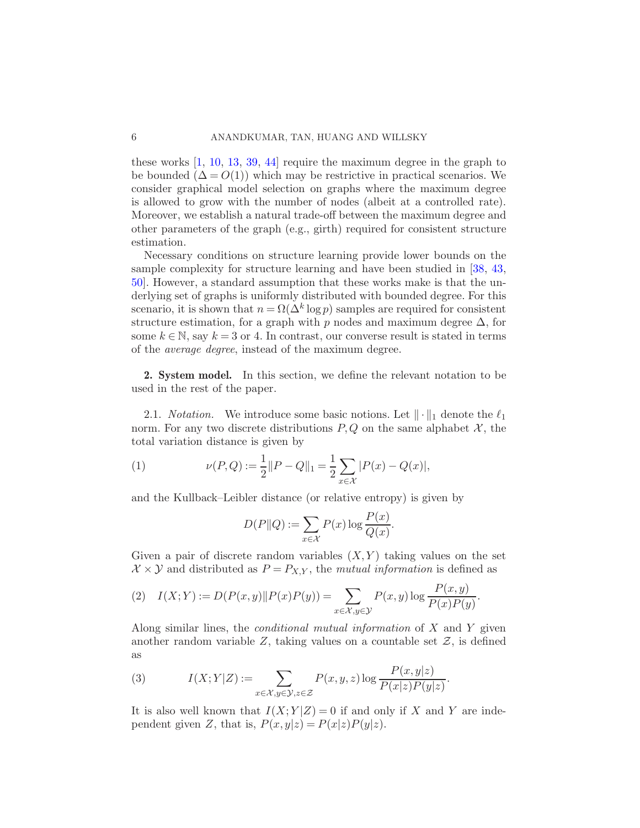these works [\[1](#page-27-2), [10](#page-28-6), [13,](#page-28-12) [39](#page-29-2), [44](#page-29-11)] require the maximum degree in the graph to be bounded  $(\Delta = O(1))$  which may be restrictive in practical scenarios. We consider graphical model selection on graphs where the maximum degree is allowed to grow with the number of nodes (albeit at a controlled rate). Moreover, we establish a natural trade-off between the maximum degree and other parameters of the graph (e.g., girth) required for consistent structure estimation.

Necessary conditions on structure learning provide lower bounds on the sample complexity for structure learning and have been studied in [\[38](#page-29-13), [43](#page-29-14), [50\]](#page-30-6). However, a standard assumption that these works make is that the underlying set of graphs is uniformly distributed with bounded degree. For this scenario, it is shown that  $n = \Omega(\Delta^k \log p)$  samples are required for consistent structure estimation, for a graph with p nodes and maximum degree  $\Delta$ , for some  $k \in \mathbb{N}$ , say  $k = 3$  or 4. In contrast, our converse result is stated in terms of the average degree, instead of the maximum degree.

2. System model. In this section, we define the relevant notation to be used in the rest of the paper.

2.1. *Notation*. We introduce some basic notions. Let  $\|\cdot\|_1$  denote the  $\ell_1$ norm. For any two discrete distributions  $P, Q$  on the same alphabet  $\mathcal{X}$ , the total variation distance is given by

(1) 
$$
\nu(P,Q) := \frac{1}{2} ||P - Q||_1 = \frac{1}{2} \sum_{x \in \mathcal{X}} |P(x) - Q(x)|,
$$

and the Kullback–Leibler distance (or relative entropy) is given by

$$
D(P||Q) := \sum_{x \in \mathcal{X}} P(x) \log \frac{P(x)}{Q(x)}.
$$

Given a pair of discrete random variables  $(X, Y)$  taking values on the set  $\mathcal{X} \times \mathcal{Y}$  and distributed as  $P = P_{X,Y}$ , the mutual information is defined as

(2) 
$$
I(X;Y) := D(P(x,y) \| P(x)P(y)) = \sum_{x \in \mathcal{X}, y \in \mathcal{Y}} P(x,y) \log \frac{P(x,y)}{P(x)P(y)}
$$
.

Along similar lines, the conditional mutual information of X and Y given another random variable  $Z$ , taking values on a countable set  $Z$ , is defined as

(3) 
$$
I(X;Y|Z) := \sum_{x \in \mathcal{X}, y \in \mathcal{Y}, z \in \mathcal{Z}} P(x,y,z) \log \frac{P(x,y|z)}{P(x|z)P(y|z)}.
$$

It is also well known that  $I(X;Y|Z) = 0$  if and only if X and Y are independent given Z, that is,  $P(x,y|z) = P(x|z)P(y|z)$ .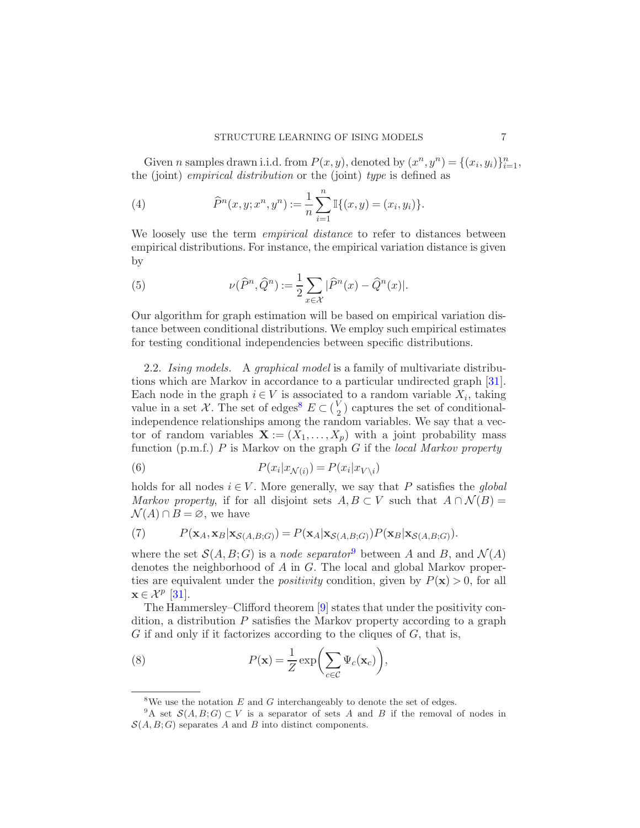Given *n* samples drawn i.i.d. from  $P(x, y)$ , denoted by  $(x^n, y^n) = \{(x_i, y_i)\}_{i=1}^n$ , the (joint) *empirical distribution* or the (joint) type is defined as

(4) 
$$
\widehat{P}^n(x, y; x^n, y^n) := \frac{1}{n} \sum_{i=1}^n \mathbb{I}\{(x, y) = (x_i, y_i)\}.
$$

We loosely use the term *empirical distance* to refer to distances between empirical distributions. For instance, the empirical variation distance is given by

(5) 
$$
\nu(\widehat{P}^n, \widehat{Q}^n) := \frac{1}{2} \sum_{x \in \mathcal{X}} |\widehat{P}^n(x) - \widehat{Q}^n(x)|.
$$

Our algorithm for graph estimation will be based on empirical variation distance between conditional distributions. We employ such empirical estimates for testing conditional independencies between specific distributions.

2.2. Ising models. A graphical model is a family of multivariate distributions which are Markov in accordance to a particular undirected graph [\[31](#page-29-15)]. Each node in the graph  $i \in V$  is associated to a random variable  $X_i$ , taking value in a set X. The set of edges<sup>[8](#page-6-0)</sup>  $E \subset {V_2 \choose 2}$  $_2^V$ ) captures the set of conditionalindependence relationships among the random variables. We say that a vector of random variables  $\mathbf{X} := (X_1, \ldots, X_p)$  with a joint probability mass function (p.m.f.)  $P$  is Markov on the graph  $G$  if the local Markov property

(6) 
$$
P(x_i|x_{\mathcal{N}(i)}) = P(x_i|x_{V\setminus i})
$$

holds for all nodes  $i \in V$ . More generally, we say that P satisfies the global Markov property, if for all disjoint sets  $A, B \subset V$  such that  $A \cap \mathcal{N}(B) =$  $\mathcal{N}(A) \cap B = \emptyset$ , we have

(7) 
$$
P(\mathbf{x}_A, \mathbf{x}_B | \mathbf{x}_{\mathcal{S}(A,B;G)}) = P(\mathbf{x}_A | \mathbf{x}_{\mathcal{S}(A,B;G)}) P(\mathbf{x}_B | \mathbf{x}_{\mathcal{S}(A,B;G)}).
$$

where the set  $\mathcal{S}(A, B; G)$  is a node separator<sup>[9](#page-6-1)</sup> between A and B, and  $\mathcal{N}(A)$ denotes the neighborhood of  $A$  in  $G$ . The local and global Markov properties are equivalent under the *positivity* condition, given by  $P(\mathbf{x}) > 0$ , for all  $\mathbf{x} \in \mathcal{X}^p$  [\[31](#page-29-15)].

The Hammersley–Clifford theorem [\[9\]](#page-28-13) states that under the positivity condition, a distribution  $P$  satisfies the Markov property according to a graph  $G$  if and only if it factorizes according to the cliques of  $G$ , that is,

(8) 
$$
P(\mathbf{x}) = \frac{1}{Z} \exp\left(\sum_{c \in C} \Psi_c(\mathbf{x}_c)\right),
$$

<span id="page-6-0"></span><sup>&</sup>lt;sup>8</sup>We use the notation  $E$  and  $G$  interchangeably to denote the set of edges.

<span id="page-6-1"></span><sup>&</sup>lt;sup>9</sup>A set  $\mathcal{S}(A, B; G) \subset V$  is a separator of sets A and B if the removal of nodes in  $S(A, B; G)$  separates A and B into distinct components.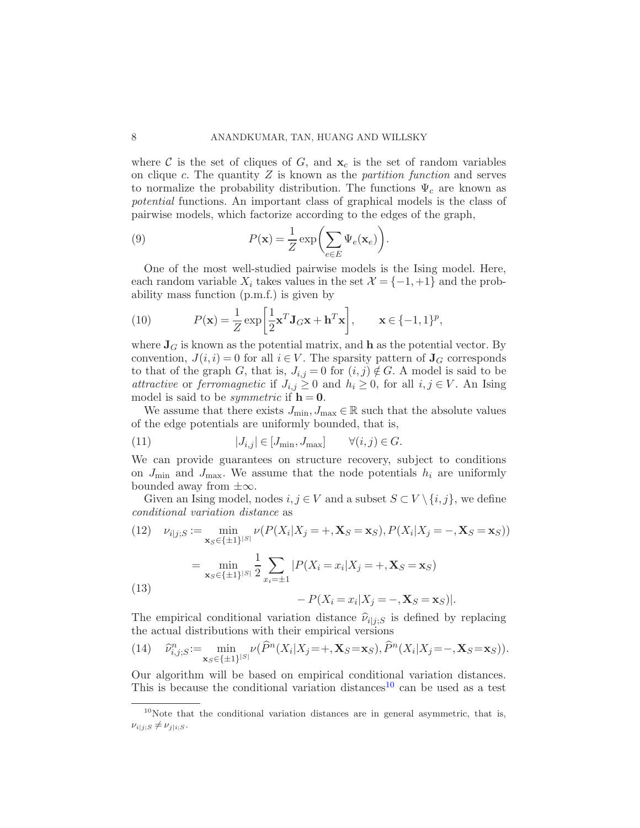where C is the set of cliques of G, and  $x_c$  is the set of random variables on clique c. The quantity  $Z$  is known as the *partition function* and serves to normalize the probability distribution. The functions  $\Psi_c$  are known as potential functions. An important class of graphical models is the class of pairwise models, which factorize according to the edges of the graph,

(9) 
$$
P(\mathbf{x}) = \frac{1}{Z} \exp\left(\sum_{e \in E} \Psi_e(\mathbf{x}_e)\right).
$$

One of the most well-studied pairwise models is the Ising model. Here, each random variable  $X_i$  takes values in the set  $\mathcal{X} = \{-1, +1\}$  and the probability mass function (p.m.f.) is given by

(10) 
$$
P(\mathbf{x}) = \frac{1}{Z} \exp\left[\frac{1}{2}\mathbf{x}^T \mathbf{J}_G \mathbf{x} + \mathbf{h}^T \mathbf{x}\right], \qquad \mathbf{x} \in \{-1, 1\}^p,
$$

where  $J_G$  is known as the potential matrix, and h as the potential vector. By convention,  $J(i, i) = 0$  for all  $i \in V$ . The sparsity pattern of  $\mathbf{J}_G$  corresponds to that of the graph G, that is,  $J_{i,j} = 0$  for  $(i, j) \notin G$ . A model is said to be attractive or ferromagnetic if  $J_{i,j} \geq 0$  and  $h_i \geq 0$ , for all  $i, j \in V$ . An Ising model is said to be *symmetric* if  $h = 0$ .

We assume that there exists  $J_{\min}, J_{\max} \in \mathbb{R}$  such that the absolute values of the edge potentials are uniformly bounded, that is,

(11) 
$$
|J_{i,j}| \in [J_{\min}, J_{\max}] \qquad \forall (i,j) \in G.
$$

We can provide guarantees on structure recovery, subject to conditions on  $J_{\text{min}}$  and  $J_{\text{max}}$ . We assume that the node potentials  $h_i$  are uniformly bounded away from  $\pm\infty$ .

Given an Ising model, nodes  $i, j \in V$  and a subset  $S \subset V \setminus \{i, j\}$ , we define conditional variation distance as

(12) 
$$
\nu_{i|j;S} := \min_{\mathbf{x}_{S} \in \{\pm 1\}^{|S|}} \nu(P(X_i | X_j = +, \mathbf{X}_{S} = \mathbf{x}_{S}), P(X_i | X_j = -, \mathbf{X}_{S} = \mathbf{x}_{S}))
$$

$$
= \min_{\mathbf{x}_{S} \in \{\pm 1\}^{|S|}} \frac{1}{2} \sum_{x_i = \pm 1} |P(X_i = x_i | X_j = +, \mathbf{X}_{S} = \mathbf{x}_{S})
$$

$$
- P(X_i = x_i | X_j = -, \mathbf{X}_{S} = \mathbf{x}_{S})|.
$$

The empirical conditional variation distance  $\hat{\nu}_{i|j;S}$  is defined by replacing the actual distributions with their empirical versions

<span id="page-7-0"></span>(14) 
$$
\widehat{\nu}_{i,j;S}^n := \min_{\mathbf{x}_S \in \{\pm 1\}^{|S|}} \nu(\widehat{P}^n(X_i | X_j = +, \mathbf{X}_S = \mathbf{x}_S), \widehat{P}^n(X_i | X_j = -, \mathbf{X}_S = \mathbf{x}_S)).
$$

Our algorithm will be based on empirical conditional variation distances. This is because the conditional variation distances<sup>[10](#page-7-1)</sup> can be used as a test

<span id="page-7-1"></span><sup>&</sup>lt;sup>10</sup>Note that the conditional variation distances are in general asymmetric, that is,  $\nu_{i|j;S} \neq \nu_{j|i;S}$ .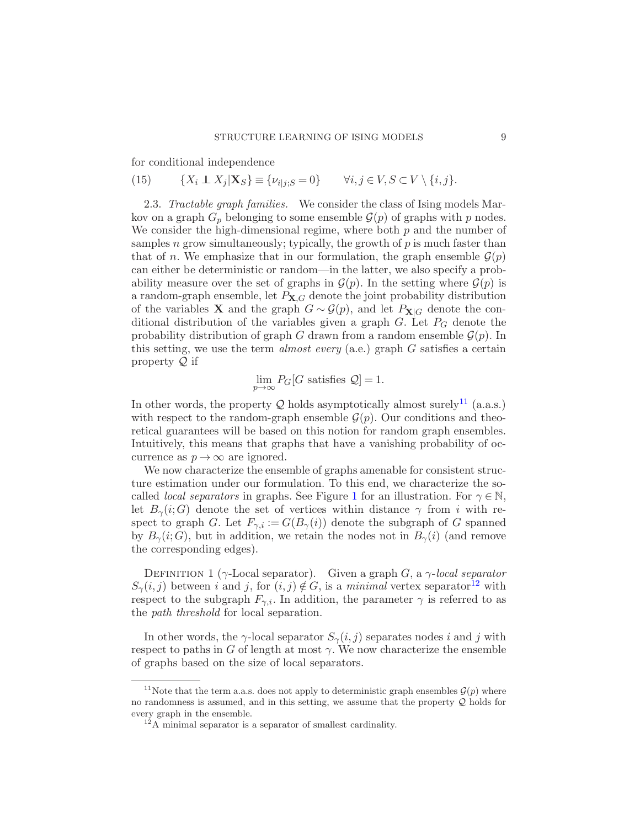for conditional independence

(15) 
$$
\{X_i \perp \!\!\!\! \perp X_j | \mathbf{X}_S\} \equiv \{\nu_{i|j;S} = 0\} \qquad \forall i, j \in V, S \subset V \setminus \{i, j\}.
$$

2.3. Tractable graph families. We consider the class of Ising models Markov on a graph  $G_p$  belonging to some ensemble  $\mathcal{G}(p)$  of graphs with p nodes. We consider the high-dimensional regime, where both  $p$  and the number of samples n grow simultaneously; typically, the growth of  $p$  is much faster than that of n. We emphasize that in our formulation, the graph ensemble  $\mathcal{G}(p)$ can either be deterministic or random—in the latter, we also specify a probability measure over the set of graphs in  $\mathcal{G}(p)$ . In the setting where  $\mathcal{G}(p)$  is a random-graph ensemble, let  $P_{\mathbf{X},G}$  denote the joint probability distribution of the variables **X** and the graph  $G \sim \mathcal{G}(p)$ , and let  $P_{\mathbf{X}|G}$  denote the conditional distribution of the variables given a graph  $G$ . Let  $P_G$  denote the probability distribution of graph G drawn from a random ensemble  $\mathcal{G}(p)$ . In this setting, we use the term *almost every* (a.e.) graph  $G$  satisfies a certain property  $\mathcal Q$  if

$$
\lim_{p \to \infty} P_G[G \text{ satisfies } \mathcal{Q}] = 1.
$$

In other words, the property  $Q$  holds asymptotically almost surely<sup>[11](#page-8-0)</sup> (a.a.s.) with respect to the random-graph ensemble  $\mathcal{G}(p)$ . Our conditions and theoretical guarantees will be based on this notion for random graph ensembles. Intuitively, this means that graphs that have a vanishing probability of occurrence as  $p \to \infty$  are ignored.

We now characterize the ensemble of graphs amenable for consistent structure estimation under our formulation. To this end, we characterize the socalled *local separators* in graphs. See Figure [1](#page-9-0) for an illustration. For  $\gamma \in \mathbb{N}$ , let  $B_{\gamma}(i;G)$  denote the set of vertices within distance  $\gamma$  from i with respect to graph G. Let  $F_{\gamma,i} := G(B_{\gamma}(i))$  denote the subgraph of G spanned by  $B_{\gamma}(i;G)$ , but in addition, we retain the nodes not in  $B_{\gamma}(i)$  (and remove the corresponding edges).

DEFINITION 1 ( $\gamma$ -Local separator). Given a graph G, a  $\gamma$ -local separator  $S_{\gamma}(i, j)$  between i and j, for  $(i, j) \notin G$ , is a minimal vertex separator<sup>[12](#page-8-1)</sup> with respect to the subgraph  $F_{\gamma,i}$ . In addition, the parameter  $\gamma$  is referred to as the path threshold for local separation.

In other words, the  $\gamma$ -local separator  $S_{\gamma}(i, j)$  separates nodes i and j with respect to paths in G of length at most  $\gamma$ . We now characterize the ensemble of graphs based on the size of local separators.

<sup>&</sup>lt;sup>11</sup>Note that the term a.a.s. does not apply to deterministic graph ensembles  $\mathcal{G}(p)$  where no randomness is assumed, and in this setting, we assume that the property Q holds for every graph in the ensemble.

<span id="page-8-1"></span><span id="page-8-0"></span> $^{12}$ A minimal separator is a separator of smallest cardinality.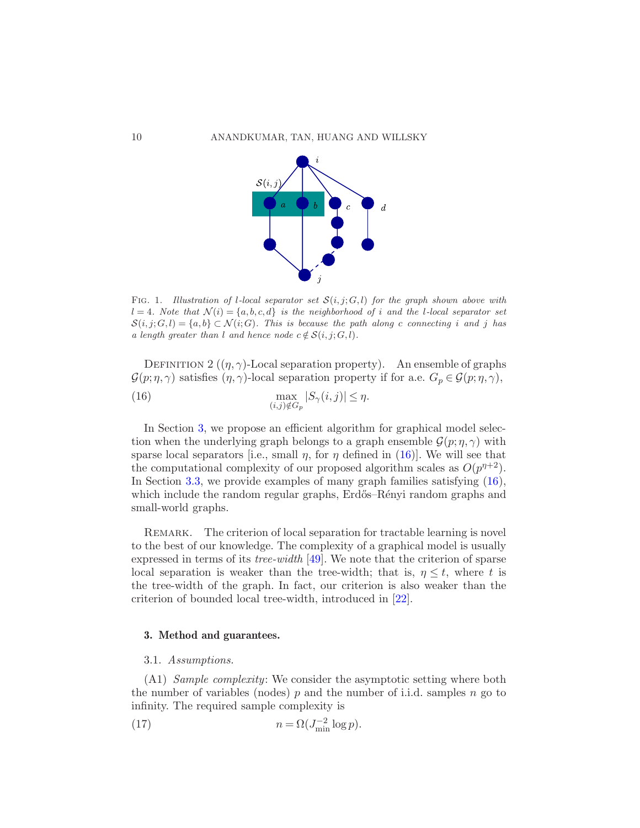

<span id="page-9-0"></span>Fig. 1. *Illustration of* l*-local separator set* S(i, j; G, l) *for the graph shown above with*  $l = 4$ *. Note that*  $\mathcal{N}(i) = \{a, b, c, d\}$  *is the neighborhood of i and the l-local separator set*  $S(i, j; G, l) = \{a, b\} \subset \mathcal{N}(i; G)$ *. This is because the path along c connecting i and j has a length greater than l and hence node*  $c \notin S(i, j; G, l)$ *.* 

<span id="page-9-3"></span><span id="page-9-2"></span>DEFINITION 2  $((\eta, \gamma)$ -Local separation property). An ensemble of graphs  $\mathcal{G}(p;\eta,\gamma)$  satisfies  $(\eta,\gamma)$ -local separation property if for a.e.  $G_p \in \mathcal{G}(p;\eta,\gamma)$ , max  $(i,j)\notin G_p$ (16)  $\max_{i,j} |S_{\gamma}(i,j)| \leq \eta.$ 

In Section [3,](#page-9-1) we propose an efficient algorithm for graphical model selection when the underlying graph belongs to a graph ensemble  $\mathcal{G}(p; \eta, \gamma)$  with sparse local separators [i.e., small  $\eta$ , for  $\eta$  defined in [\(16\)](#page-9-2)]. We will see that the computational complexity of our proposed algorithm scales as  $O(p^{n+2})$ . In Section [3.3,](#page-15-0) we provide examples of many graph families satisfying [\(16\)](#page-9-2), which include the random regular graphs, Erdős–Rényi random graphs and small-world graphs.

REMARK. The criterion of local separation for tractable learning is novel to the best of our knowledge. The complexity of a graphical model is usually expressed in terms of its *tree-width* [\[49\]](#page-30-5). We note that the criterion of sparse local separation is weaker than the tree-width; that is,  $\eta \leq t$ , where t is the tree-width of the graph. In fact, our criterion is also weaker than the criterion of bounded local tree-width, introduced in [\[22](#page-28-14)].

### <span id="page-9-5"></span><span id="page-9-1"></span>3. Method and guarantees.

### 3.1. Assumptions.

(A1) Sample complexity: We consider the asymptotic setting where both the number of variables (nodes) p and the number of i.i.d. samples n go to infinity. The required sample complexity is

<span id="page-9-4"></span>(17) 
$$
n = \Omega(J_{\min}^{-2} \log p).
$$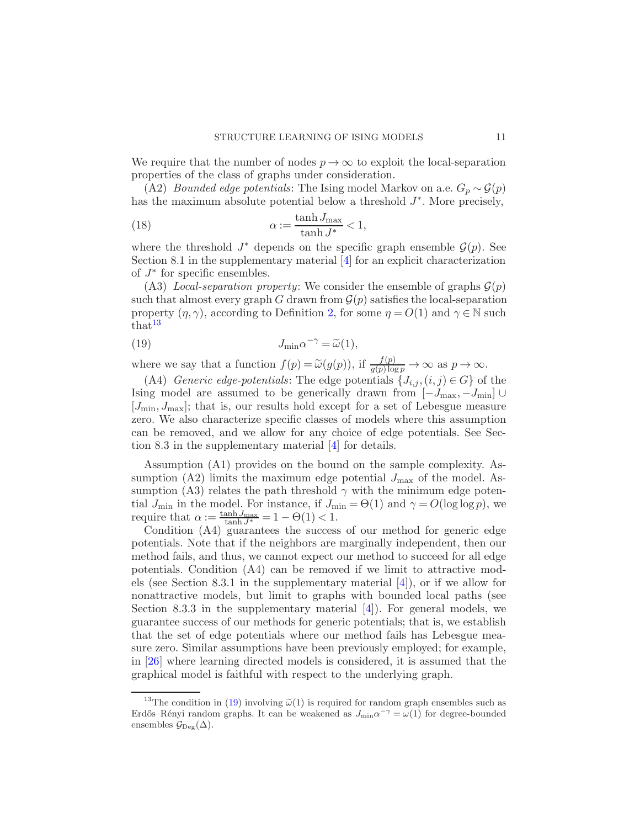We require that the number of nodes  $p \to \infty$  to exploit the local-separation properties of the class of graphs under consideration.

(A2) *Bounded edge potentials*: The Ising model Markov on a.e.  $G_p \sim \mathcal{G}(p)$ has the maximum absolute potential below a threshold  $J^*$ . More precisely,

<span id="page-10-2"></span>(18) 
$$
\alpha := \frac{\tanh J_{\text{max}}}{\tanh J^*} < 1,
$$

where the threshold  $J^*$  depends on the specific graph ensemble  $\mathcal{G}(p)$ . See Section 8.1 in the supplementary material [\[4\]](#page-27-3) for an explicit characterization of  $J^*$  for specific ensembles.

(A3) Local-separation property: We consider the ensemble of graphs  $\mathcal{G}(p)$ such that almost every graph G drawn from  $\mathcal{G}(p)$  satisfies the local-separation property  $(\eta, \gamma)$ , according to Definition [2,](#page-9-3) for some  $\eta = O(1)$  and  $\gamma \in \mathbb{N}$  such  $that<sup>13</sup>$  $that<sup>13</sup>$  $that<sup>13</sup>$ 

<span id="page-10-1"></span>(19) 
$$
J_{\min} \alpha^{-\gamma} = \widetilde{\omega}(1),
$$

where we say that a function  $f(p) = \tilde{\omega}(g(p))$ , if  $\frac{f(p)}{g(p)\log p} \to \infty$  as  $p \to \infty$ .

(A4) Generic edge-potentials: The edge potentials  $\{J_{i,j}, (i,j) \in G\}$  of the Ising model are assumed to be generically drawn from  $[-J_{\text{max}}, -J_{\text{min}}]$  $[J<sub>min</sub>, J<sub>max</sub>]$ ; that is, our results hold except for a set of Lebesgue measure zero. We also characterize specific classes of models where this assumption can be removed, and we allow for any choice of edge potentials. See Section 8.3 in the supplementary material [\[4](#page-27-3)] for details.

Assumption (A1) provides on the bound on the sample complexity. Assumption (A2) limits the maximum edge potential  $J_{\text{max}}$  of the model. Assumption (A3) relates the path threshold  $\gamma$  with the minimum edge potential  $J_{\text{min}}$  in the model. For instance, if  $J_{\text{min}} = \Theta(1)$  and  $\gamma = O(\log \log p)$ , we require that  $\alpha := \frac{\tanh J_{\text{max}}}{\tanh J^*} = 1 - \Theta(1) < 1.$ 

Condition (A4) guarantees the success of our method for generic edge potentials. Note that if the neighbors are marginally independent, then our method fails, and thus, we cannot expect our method to succeed for all edge potentials. Condition (A4) can be removed if we limit to attractive models (see Section 8.3.1 in the supplementary material  $[4]$ ), or if we allow for nonattractive models, but limit to graphs with bounded local paths (see Section 8.3.3 in the supplementary material  $[4]$ ). For general models, we guarantee success of our methods for generic potentials; that is, we establish that the set of edge potentials where our method fails has Lebesgue measure zero. Similar assumptions have been previously employed; for example, in [\[26](#page-28-15)] where learning directed models is considered, it is assumed that the graphical model is faithful with respect to the underlying graph.

<span id="page-10-0"></span><sup>&</sup>lt;sup>13</sup>The condition in [\(19\)](#page-10-1) involving  $\tilde{\omega}(1)$  is required for random graph ensembles such as Erdős–Rényi random graphs. It can be weakened as  $J_{\text{min}}\alpha^{-\gamma} = \omega(1)$  for degree-bounded ensembles  $\mathcal{G}_{\text{Deg}}(\Delta)$ .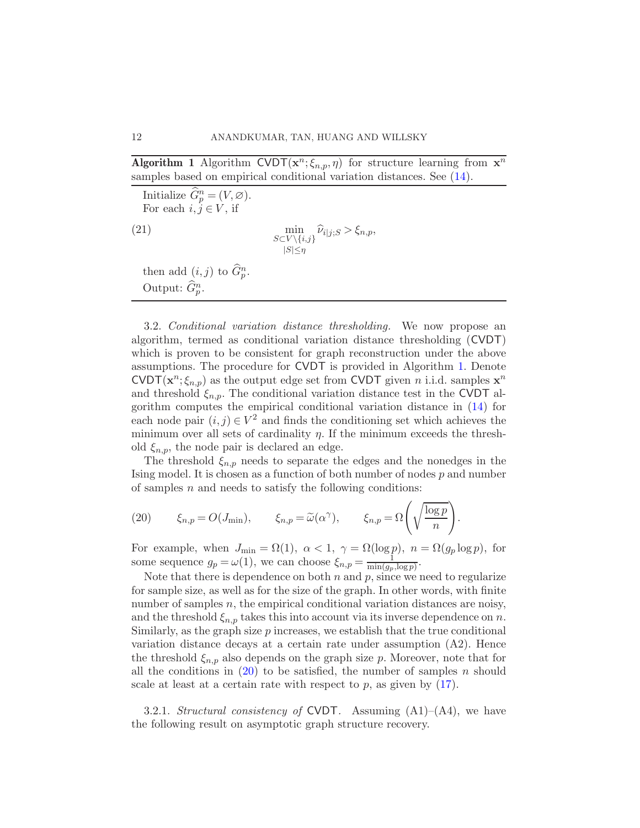**Algorithm 1** Algorithm CVDT $(x^n; \xi_{n,p}, \eta)$  for structure learning from  $x^n$ samples based on empirical conditional variation distances. See [\(14\)](#page-7-0).

<span id="page-11-2"></span>Initialize  $\widehat{G}_p^n = (V, \varnothing)$ . For each  $i, j \in V$ , if min (21)  $\min_{S \subset V \setminus \{i,j\}} \hat{\nu}_{i|j,S} > \xi_{n,p},$  $|S|\leq \eta$ then add  $(i, j)$  to  $\widehat{G}_{p}^{n}$ . Output:  $\widehat{G}_{p}^{n}$ .

<span id="page-11-0"></span>3.2. Conditional variation distance thresholding. We now propose an algorithm, termed as conditional variation distance thresholding (CVDT) which is proven to be consistent for graph reconstruction under the above assumptions. The procedure for CVDT is provided in Algorithm [1.](#page-11-0) Denote CVDT $(\mathbf{x}^n; \xi_{n,p})$  as the output edge set from CVDT given *n* i.i.d. samples  $\mathbf{x}^n$ and threshold  $\xi_{n,p}$ . The conditional variation distance test in the CVDT algorithm computes the empirical conditional variation distance in [\(14\)](#page-7-0) for each node pair  $(i, j) \in V^2$  and finds the conditioning set which achieves the minimum over all sets of cardinality  $\eta$ . If the minimum exceeds the threshold  $\xi_{n,p}$ , the node pair is declared an edge.

The threshold  $\xi_{n,p}$  needs to separate the edges and the nonedges in the Ising model. It is chosen as a function of both number of nodes p and number of samples  $n$  and needs to satisfy the following conditions:

<span id="page-11-1"></span>(20) 
$$
\xi_{n,p} = O(J_{\min}), \qquad \xi_{n,p} = \widetilde{\omega}(\alpha^{\gamma}), \qquad \xi_{n,p} = \Omega\left(\sqrt{\frac{\log p}{n}}\right).
$$

For example, when  $J_{\min} = \Omega(1)$ ,  $\alpha < 1$ ,  $\gamma = \Omega(\log p)$ ,  $n = \Omega(g_p \log p)$ , for some sequence  $g_p = \omega(1)$ , we can choose  $\xi_{n,p} = \frac{1}{\min(a_p)}$  $\frac{1}{\min(g_p, \log p)}$ .

Note that there is dependence on both  $n$  and  $p$ , since we need to regularize for sample size, as well as for the size of the graph. In other words, with finite number of samples  $n$ , the empirical conditional variation distances are noisy, and the threshold  $\xi_{n,p}$  takes this into account via its inverse dependence on n. Similarly, as the graph size  $p$  increases, we establish that the true conditional variation distance decays at a certain rate under assumption (A2). Hence the threshold  $\xi_{n,p}$  also depends on the graph size p. Moreover, note that for all the conditions in  $(20)$  to be satisfied, the number of samples n should scale at least at a certain rate with respect to  $p$ , as given by  $(17)$ .

<span id="page-11-3"></span>3.2.1. Structural consistency of CVDT. Assuming  $(A1)$ – $(A4)$ , we have the following result on asymptotic graph structure recovery.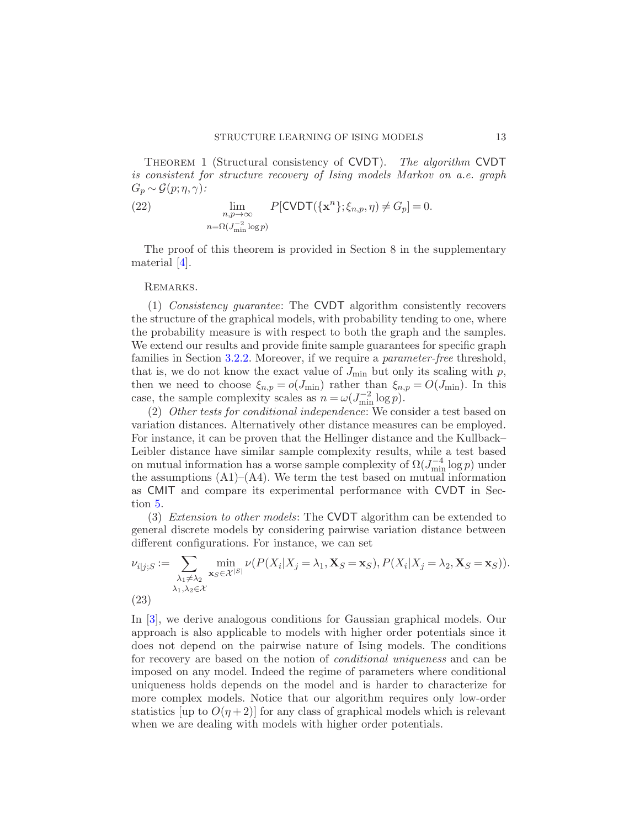THEOREM 1 (Structural consistency of CVDT). The algorithm CVDT is consistent for structure recovery of Ising models Markov on a.e. graph  $G_p \sim \mathcal{G}(p; \eta, \gamma)$ :

(22) 
$$
\lim_{\substack{n,p\to\infty\\n=\Omega(J_{\min}^{-2}\log p)}} P[\text{CVDT}(\{\mathbf{x}^n\};\xi_{n,p},\eta) \neq G_p] = 0.
$$

The proof of this theorem is provided in Section 8 in the supplementary material [\[4](#page-27-3)].

#### REMARKS.

(1) Consistency guarantee: The CVDT algorithm consistently recovers the structure of the graphical models, with probability tending to one, where the probability measure is with respect to both the graph and the samples. We extend our results and provide finite sample guarantees for specific graph families in Section [3.2.2.](#page-13-0) Moreover, if we require a *parameter-free* threshold, that is, we do not know the exact value of  $J_{\text{min}}$  but only its scaling with p, then we need to choose  $\xi_{n,p} = o(J_{\text{min}})$  rather than  $\xi_{n,p} = O(J_{\text{min}})$ . In this case, the sample complexity scales as  $n = \omega(J_{\text{min}}^{-2} \log p)$ .

(2) Other tests for conditional independence: We consider a test based on variation distances. Alternatively other distance measures can be employed. For instance, it can be proven that the Hellinger distance and the Kullback– Leibler distance have similar sample complexity results, while a test based on mutual information has a worse sample complexity of  $\Omega(J_{\text{min}}^{-4}\log p)$  under the assumptions  $(A1)$ – $(A4)$ . We term the test based on mutual information as CMIT and compare its experimental performance with CVDT in Section [5.](#page-23-0)

(3) Extension to other models: The CVDT algorithm can be extended to general discrete models by considering pairwise variation distance between different configurations. For instance, we can set

$$
\nu_{i|j;S} := \sum_{\substack{\lambda_1 \neq \lambda_2 \\ \lambda_1, \lambda_2 \in \mathcal{X}}} \min_{\mathbf{x}_S \in \mathcal{X}^{|S|}} \nu(P(X_i | X_j = \lambda_1, \mathbf{X}_S = \mathbf{x}_S), P(X_i | X_j = \lambda_2, \mathbf{X}_S = \mathbf{x}_S)).
$$
\n(23)

In [\[3](#page-27-4)], we derive analogous conditions for Gaussian graphical models. Our approach is also applicable to models with higher order potentials since it does not depend on the pairwise nature of Ising models. The conditions for recovery are based on the notion of conditional uniqueness and can be imposed on any model. Indeed the regime of parameters where conditional uniqueness holds depends on the model and is harder to characterize for more complex models. Notice that our algorithm requires only low-order statistics [up to  $O(\eta + 2)$ ] for any class of graphical models which is relevant when we are dealing with models with higher order potentials.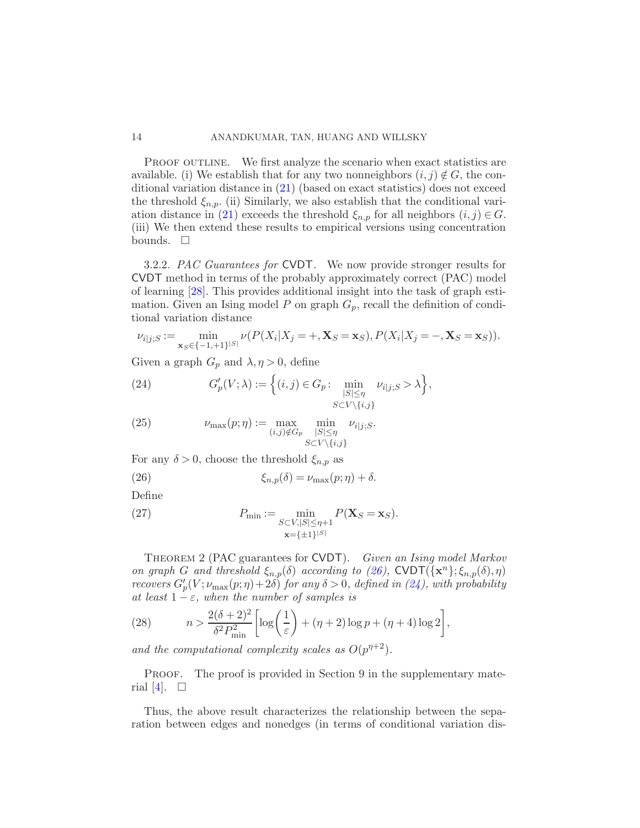PROOF OUTLINE. We first analyze the scenario when exact statistics are available. (i) We establish that for any two nonneighbors  $(i, j) \notin G$ , the conditional variation distance in [\(21\)](#page-11-2) (based on exact statistics) does not exceed the threshold  $\xi_{n,p}$ . (ii) Similarly, we also establish that the conditional vari-ation distance in [\(21\)](#page-11-2) exceeds the threshold  $\xi_{n,p}$  for all neighbors  $(i, j) \in G$ . (iii) We then extend these results to empirical versions using concentration bounds.  $\square$ 

<span id="page-13-0"></span>3.2.2. PAC Guarantees for CVDT. We now provide stronger results for CVDT method in terms of the probably approximately correct (PAC) model of learning [\[28\]](#page-29-16). This provides additional insight into the task of graph estimation. Given an Ising model P on graph  $G_p$ , recall the definition of conditional variation distance

$$
\nu_{i|j;S} := \min_{{\bf x}_S \in \{-1,+1\}^{|S|}} \nu(P(X_i|X_j=+,{\bf X}_S={\bf x}_S), P(X_i|X_j=-,{\bf X}_S={\bf x}_S)).
$$

Given a graph  $G_p$  and  $\lambda, \eta > 0$ , define

<span id="page-13-2"></span>(24) 
$$
G'_{p}(V; \lambda) := \left\{ (i, j) \in G_p : \min_{\substack{|S| \le \eta \\ S \subset V \setminus \{i, j\}}} \nu_{i|j; S} > \lambda \right\},\
$$

(25) 
$$
\nu_{\max}(p;\eta) := \max_{(i,j)\notin G_p} \min_{\substack{|S| \leq \eta \\ S \subset V \setminus \{i,j\}}} \nu_{i|j;S}.
$$

For any  $\delta > 0$ , choose the threshold  $\xi_{n,p}$  as

<span id="page-13-1"></span>(26) 
$$
\xi_{n,p}(\delta) = \nu_{\max}(p;\eta) + \delta.
$$

Define

(27) 
$$
P_{\min} := \min_{\substack{S \subset V, |S| \le \eta + 1 \\ \mathbf{x} = \{\pm 1\}^{|S|}}} P(\mathbf{X}_S = \mathbf{x}_S).
$$

<span id="page-13-3"></span>THEOREM 2 (PAC guarantees for CVDT). Given an Ising model Markov on graph G and threshold  $\xi_{n,p}(\delta)$  according to [\(26\)](#page-13-1), CVDT $(\mathbf{x}^n)$ ;  $\xi_{n,p}(\delta), \eta$ ) recovers  $G'_{p}(V; \nu_{\max}(p; \eta) + 2\delta)$  for any  $\delta > 0$ , defined in  $(24)$ , with probability at least  $1 - \varepsilon$ , when the number of samples is

(28) 
$$
n > \frac{2(\delta+2)^2}{\delta^2 P_{\min}^2} \left[ \log \left( \frac{1}{\varepsilon} \right) + (\eta+2) \log p + (\eta+4) \log 2 \right],
$$

and the computational complexity scales as  $O(p^{n+2})$ .

PROOF. The proof is provided in Section 9 in the supplementary mate-rial [\[4\]](#page-27-3).  $\square$ 

Thus, the above result characterizes the relationship between the separation between edges and nonedges (in terms of conditional variation dis-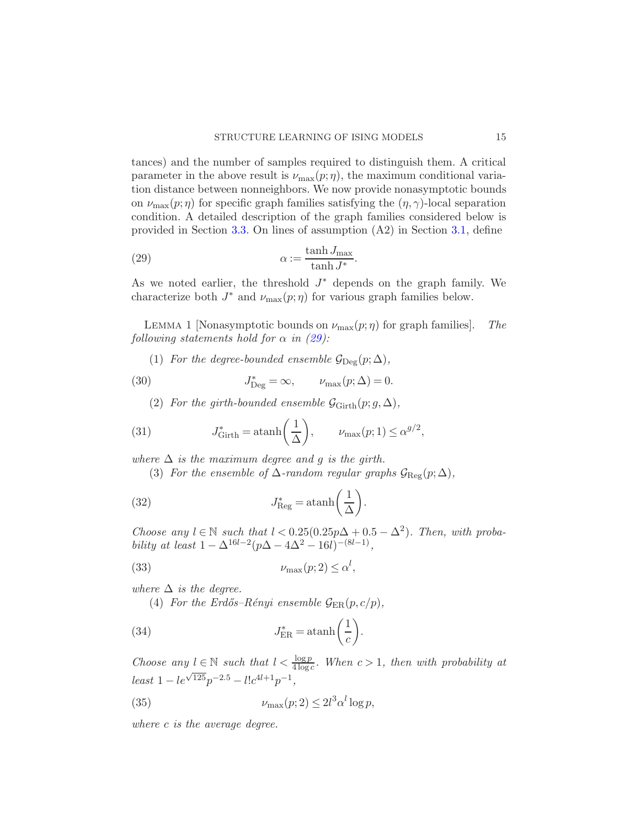tances) and the number of samples required to distinguish them. A critical parameter in the above result is  $\nu_{\text{max}}(p;\eta)$ , the maximum conditional variation distance between nonneighbors. We now provide nonasymptotic bounds on  $\nu_{\text{max}}(p;\eta)$  for specific graph families satisfying the  $(\eta, \gamma)$ -local separation condition. A detailed description of the graph families considered below is provided in Section [3.3.](#page-15-0) On lines of assumption (A2) in Section [3.1,](#page-9-5) define

<span id="page-14-0"></span>(29) 
$$
\alpha := \frac{\tanh J_{\text{max}}}{\tanh J^*}.
$$

As we noted earlier, the threshold  $J^*$  depends on the graph family. We characterize both  $J^*$  and  $\nu_{\text{max}}(p;\eta)$  for various graph families below.

LEMMA 1 [Nonasymptotic bounds on  $\nu_{\text{max}}(p;\eta)$  for graph families]. The following statements hold for  $\alpha$  in [\(29\)](#page-14-0):

(1) For the degree-bounded ensemble  $\mathcal{G}_{\text{Deg}}(p;\Delta)$ ,

(30) 
$$
J_{\text{Deg}}^* = \infty, \qquad \nu_{\text{max}}(p; \Delta) = 0.
$$

(2) For the girth-bounded ensemble  $\mathcal{G}_{\text{Girth}}(p; g, \Delta)$ ,

(31) 
$$
J_{\text{Girth}}^* = \operatorname{atanh}\left(\frac{1}{\Delta}\right), \qquad \nu_{\max}(p;1) \le \alpha^{g/2},
$$

where  $\Delta$  is the maximum degree and g is the girth.

(3) For the ensemble of  $\Delta$ -random regular graphs  $\mathcal{G}_{\text{Reg}}(p;\Delta)$ ,

(32) 
$$
J_{\text{Reg}}^* = \operatorname{atanh}\left(\frac{1}{\Delta}\right).
$$

Choose any  $l \in \mathbb{N}$  such that  $l < 0.25(0.25p\Delta + 0.5 - \Delta^2)$ . Then, with probability at least  $1 - \Delta^{16l-2}(p\Delta - 4\Delta^2 - 16l)^{-(8l-1)}$ ,

$$
(33) \t\t\t \nu_{\max}(p;2) \le \alpha^l,
$$

where  $\Delta$  is the degree.

(4) For the Erdős–Rényi ensemble  $\mathcal{G}_{\text{ER}}(p, c/p)$ ,

(34) 
$$
J_{\text{ER}}^* = \operatorname{atanh}\left(\frac{1}{c}\right).
$$

Choose any  $l \in \mathbb{N}$  such that  $l < \frac{\log p}{4 \log c}$ . When  $c > 1$ , then with probability at  $least 1 - le^{\sqrt{125}}p^{-2.5} - l!c^{4l+1}p^{-1},$ 

(35) 
$$
\nu_{\max}(p;2) \le 2l^3 \alpha^l \log p,
$$

where c is the average degree.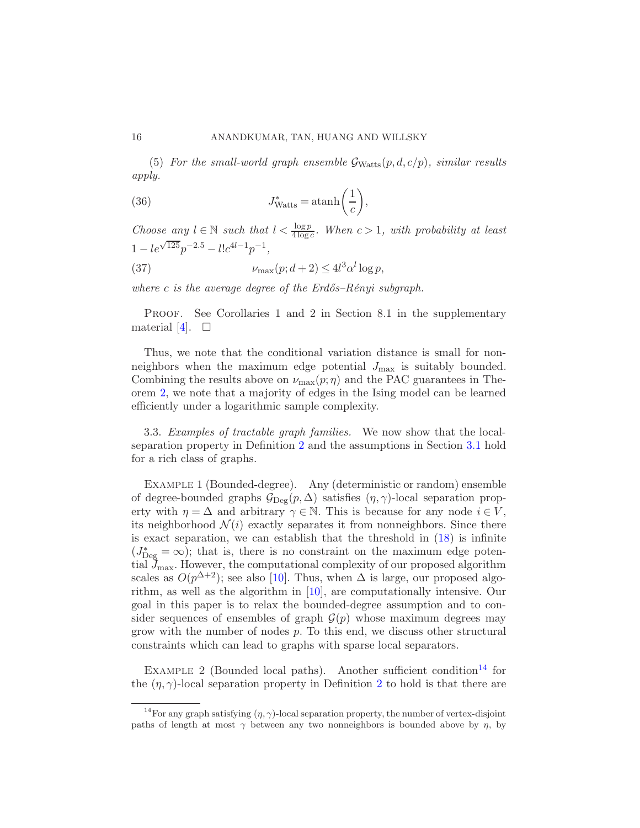(5) For the small-world graph ensemble  $\mathcal{G}_{Watts}(p, d, c/p)$ , similar results apply.

(36) 
$$
J_{\text{Watts}}^* = \operatorname{atanh}\left(\frac{1}{c}\right),
$$

Choose any  $l \in \mathbb{N}$  such that  $l < \frac{\log p}{4 \log c}$ . When  $c > 1$ , with probability at least  $1 - le^{\sqrt{125}} p^{-2.5} - l! c^{4l-1} p^{-1},$ 

(37) 
$$
\nu_{\max}(p; d+2) \le 4l^3 \alpha^l \log p,
$$

where c is the average degree of the  $Erd\tilde{o}s-R\tilde{e}nyi$  subgraph.

PROOF. See Corollaries 1 and 2 in Section 8.1 in the supplementary material [\[4](#page-27-3)].  $\square$ 

Thus, we note that the conditional variation distance is small for nonneighbors when the maximum edge potential  $J_{\text{max}}$  is suitably bounded. Combining the results above on  $\nu_{\text{max}}(p;\eta)$  and the PAC guarantees in Theorem [2,](#page-13-3) we note that a majority of edges in the Ising model can be learned efficiently under a logarithmic sample complexity.

<span id="page-15-0"></span>3.3. Examples of tractable graph families. We now show that the localseparation property in Definition [2](#page-9-3) and the assumptions in Section [3.1](#page-9-5) hold for a rich class of graphs.

Example 1 (Bounded-degree). Any (deterministic or random) ensemble of degree-bounded graphs  $\mathcal{G}_{\text{Dec}}(p,\Delta)$  satisfies  $(\eta,\gamma)$ -local separation property with  $\eta = \Delta$  and arbitrary  $\gamma \in \mathbb{N}$ . This is because for any node  $i \in V$ , its neighborhood  $\mathcal{N}(i)$  exactly separates it from nonneighbors. Since there is exact separation, we can establish that the threshold in [\(18\)](#page-10-2) is infinite  $(J_{\text{Deg}}^* = \infty)$ ; that is, there is no constraint on the maximum edge potential  $\mathcal{J}_{\text{max}}$ . However, the computational complexity of our proposed algorithm scales as  $O(p^{\Delta+2})$ ; see also [\[10\]](#page-28-6). Thus, when  $\Delta$  is large, our proposed algorithm, as well as the algorithm in [\[10](#page-28-6)], are computationally intensive. Our goal in this paper is to relax the bounded-degree assumption and to consider sequences of ensembles of graph  $\mathcal{G}(p)$  whose maximum degrees may grow with the number of nodes  $p$ . To this end, we discuss other structural constraints which can lead to graphs with sparse local separators.

EXAMPLE 2 (Bounded local paths). Another sufficient condition<sup>[14](#page-15-1)</sup> for the  $(\eta, \gamma)$ -local separation property in Definition [2](#page-9-3) to hold is that there are

<span id="page-15-1"></span><sup>&</sup>lt;sup>14</sup>For any graph satisfying  $(\eta, \gamma)$ -local separation property, the number of vertex-disjoint paths of length at most  $\gamma$  between any two nonneighbors is bounded above by  $\eta$ , by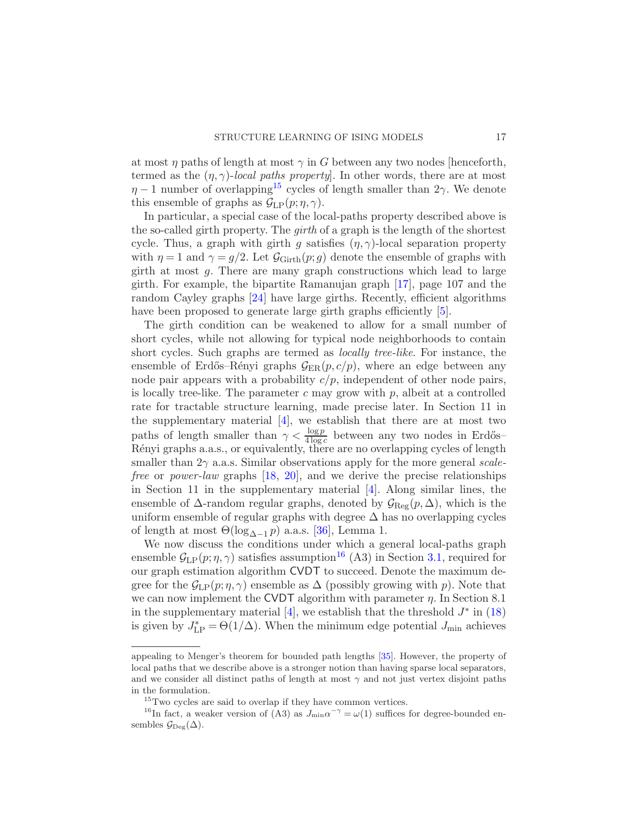at most  $\eta$  paths of length at most  $\gamma$  in G between any two nodes [henceforth, termed as the  $(\eta, \gamma)$ -local paths property. In other words, there are at most  $\eta$  – 1 number of overlapping<sup>[15](#page-16-0)</sup> cycles of length smaller than 2γ. We denote this ensemble of graphs as  $\mathcal{G}_{LP}(p;\eta,\gamma)$ .

In particular, a special case of the local-paths property described above is the so-called girth property. The *girth* of a graph is the length of the shortest cycle. Thus, a graph with girth g satisfies  $(\eta, \gamma)$ -local separation property with  $\eta = 1$  and  $\gamma = g/2$ . Let  $\mathcal{G}_{\text{Girth}}(p; g)$  denote the ensemble of graphs with girth at most g. There are many graph constructions which lead to large girth. For example, the bipartite Ramanujan graph [\[17](#page-28-16)], page 107 and the random Cayley graphs [\[24](#page-28-17)] have large girths. Recently, efficient algorithms have been proposed to generate large girth graphs efficiently [\[5](#page-27-5)].

The girth condition can be weakened to allow for a small number of short cycles, while not allowing for typical node neighborhoods to contain short cycles. Such graphs are termed as locally tree-like. For instance, the ensemble of Erdős–Rényi graphs  $\mathcal{G}_{ER}(p, c/p)$ , where an edge between any node pair appears with a probability  $c/p$ , independent of other node pairs, is locally tree-like. The parameter  $c$  may grow with  $p$ , albeit at a controlled rate for tractable structure learning, made precise later. In Section 11 in the supplementary material [\[4](#page-27-3)], we establish that there are at most two paths of length smaller than  $\gamma < \frac{\log p}{4 \log c}$  between any two nodes in Erdős– Rényi graphs a.a.s., or equivalently, there are no overlapping cycles of length smaller than  $2\gamma$  a.a.s. Similar observations apply for the more general scale-free or power-law graphs [\[18](#page-28-9), [20](#page-28-18)], and we derive the precise relationships in Section 11 in the supplementary material [\[4](#page-27-3)]. Along similar lines, the ensemble of  $\Delta$ -random regular graphs, denoted by  $\mathcal{G}_{\text{Reg}}(p,\Delta)$ , which is the uniform ensemble of regular graphs with degree  $\Delta$  has no overlapping cycles of length at most  $\Theta(\log_{\Delta-1} p)$  a.a.s. [\[36\]](#page-29-17), Lemma 1.

We now discuss the conditions under which a general local-paths graph ensemble  $\mathcal{G}_{LP}(p;\eta,\gamma)$  satisfies assumption<sup>[16](#page-16-1)</sup> (A3) in Section [3.1,](#page-9-5) required for our graph estimation algorithm CVDT to succeed. Denote the maximum degree for the  $\mathcal{G}_{\text{LP}}(p;\eta,\gamma)$  ensemble as  $\Delta$  (possibly growing with p). Note that we can now implement the CVDT algorithm with parameter  $\eta$ . In Section 8.1 in the supplementary material [\[4](#page-27-3)], we establish that the threshold  $J^*$  in [\(18\)](#page-10-2) is given by  $J_{\text{LP}}^* = \Theta(1/\Delta)$ . When the minimum edge potential  $J_{\text{min}}$  achieves

appealing to Menger's theorem for bounded path lengths [\[35\]](#page-29-18). However, the property of local paths that we describe above is a stronger notion than having sparse local separators, and we consider all distinct paths of length at most  $\gamma$  and not just vertex disjoint paths in the formulation.

<span id="page-16-1"></span><span id="page-16-0"></span> $^{15}$ Two cycles are said to overlap if they have common vertices.

<sup>&</sup>lt;sup>16</sup>In fact, a weaker version of (A3) as  $J_{\min} \alpha^{-\gamma} = \omega(1)$  suffices for degree-bounded ensembles  $\mathcal{G}_{\text{Deg}}(\Delta)$ .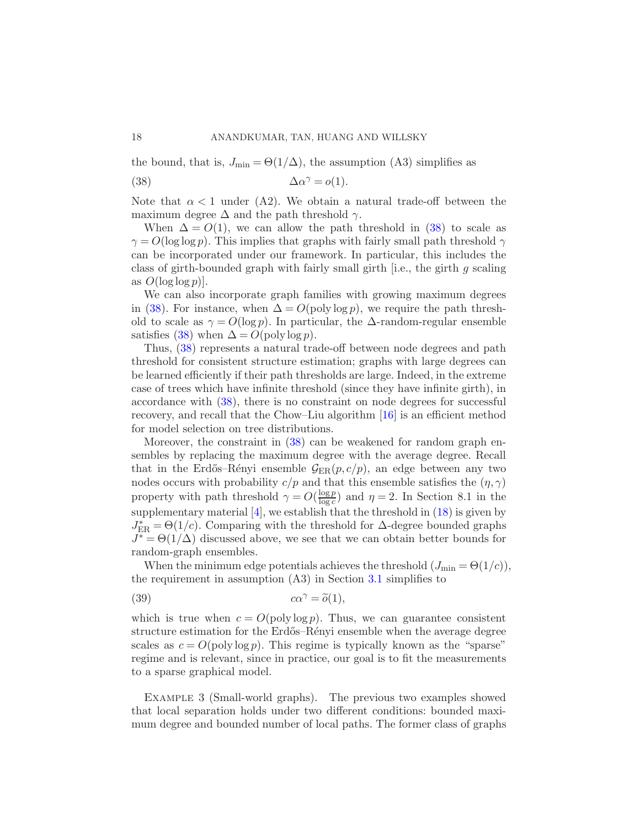the bound, that is,  $J_{\min} = \Theta(1/\Delta)$ , the assumption (A3) simplifies as

<span id="page-17-0"></span>(38) 
$$
\Delta \alpha^{\gamma} = o(1).
$$

Note that  $\alpha < 1$  under (A2). We obtain a natural trade-off between the maximum degree  $\Delta$  and the path threshold  $\gamma$ .

When  $\Delta = O(1)$ , we can allow the path threshold in [\(38\)](#page-17-0) to scale as  $\gamma = O(\log \log p)$ . This implies that graphs with fairly small path threshold  $\gamma$ can be incorporated under our framework. In particular, this includes the class of girth-bounded graph with fairly small girth [i.e., the girth g scaling as  $O(\log \log p)$ .

We can also incorporate graph families with growing maximum degrees in [\(38\)](#page-17-0). For instance, when  $\Delta = O(\text{poly}\log p)$ , we require the path threshold to scale as  $\gamma = O(\log p)$ . In particular, the  $\Delta$ -random-regular ensemble satisfies [\(38\)](#page-17-0) when  $\Delta = O(\text{poly}\log p)$ .

Thus, [\(38\)](#page-17-0) represents a natural trade-off between node degrees and path threshold for consistent structure estimation; graphs with large degrees can be learned efficiently if their path thresholds are large. Indeed, in the extreme case of trees which have infinite threshold (since they have infinite girth), in accordance with [\(38\)](#page-17-0), there is no constraint on node degrees for successful recovery, and recall that the Chow–Liu algorithm [\[16\]](#page-28-5) is an efficient method for model selection on tree distributions.

Moreover, the constraint in [\(38\)](#page-17-0) can be weakened for random graph ensembles by replacing the maximum degree with the average degree. Recall that in the Erdős–Rényi ensemble  $\mathcal{G}_{ER}(p, c/p)$ , an edge between any two nodes occurs with probability  $c/p$  and that this ensemble satisfies the  $(\eta, \gamma)$ property with path threshold  $\gamma = O(\frac{\log p}{\log c})$  $\frac{\log p}{\log c}$  and  $\eta = 2$ . In Section 8.1 in the supplementary material  $[4]$ , we establish that the threshold in  $(18)$  is given by  $J_{\text{ER}}^* = \Theta(1/c)$ . Comparing with the threshold for  $\Delta$ -degree bounded graphs  $J^* = \Theta(1/\Delta)$  discussed above, we see that we can obtain better bounds for random-graph ensembles.

When the minimum edge potentials achieves the threshold  $(J_{\min} = \Theta(1/c))$ , the requirement in assumption  $(A3)$  in Section [3.1](#page-9-5) simplifies to

<span id="page-17-1"></span>(39) 
$$
c\alpha^{\gamma} = \tilde{o}(1),
$$

which is true when  $c = O(\text{poly}\log p)$ . Thus, we can guarantee consistent structure estimation for the Erdős–Rényi ensemble when the average degree scales as  $c = O(\text{poly}\log p)$ . This regime is typically known as the "sparse" regime and is relevant, since in practice, our goal is to fit the measurements to a sparse graphical model.

Example 3 (Small-world graphs). The previous two examples showed that local separation holds under two different conditions: bounded maximum degree and bounded number of local paths. The former class of graphs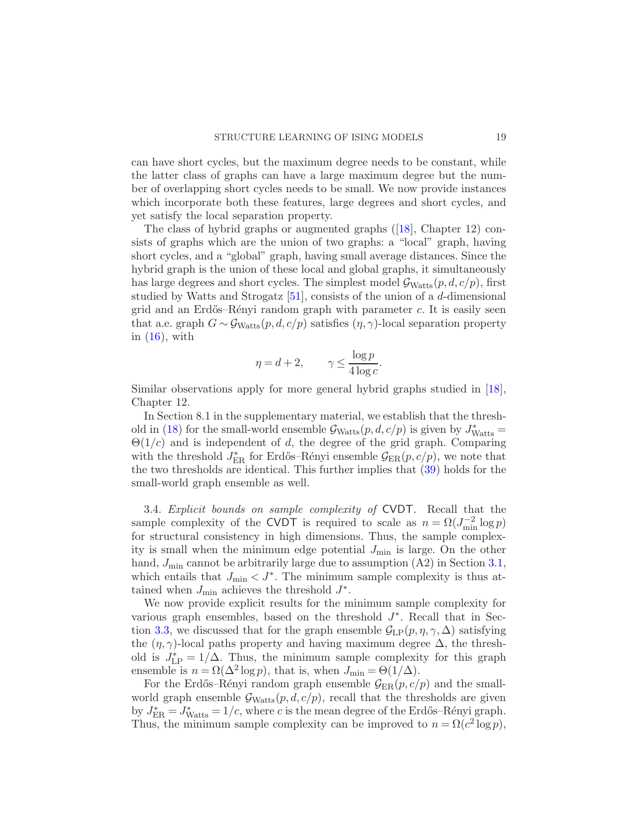can have short cycles, but the maximum degree needs to be constant, while the latter class of graphs can have a large maximum degree but the number of overlapping short cycles needs to be small. We now provide instances which incorporate both these features, large degrees and short cycles, and yet satisfy the local separation property.

The class of hybrid graphs or augmented graphs ([\[18](#page-28-9)], Chapter 12) consists of graphs which are the union of two graphs: a "local" graph, having short cycles, and a "global" graph, having small average distances. Since the hybrid graph is the union of these local and global graphs, it simultaneously has large degrees and short cycles. The simplest model  $\mathcal{G}_{Watts}(p, d, c/p)$ , first studied by Watts and Strogatz [\[51](#page-30-0)], consists of the union of a d-dimensional grid and an Erdős–Rényi random graph with parameter  $c$ . It is easily seen that a.e. graph  $G \sim \mathcal{G}_{Watts}(p, d, c/p)$  satisfies  $(\eta, \gamma)$ -local separation property in  $(16)$ , with

$$
\eta = d + 2, \qquad \gamma \le \frac{\log p}{4 \log c}.
$$

Similar observations apply for more general hybrid graphs studied in [\[18](#page-28-9)], Chapter 12.

In Section 8.1 in the supplementary material, we establish that the thresh-old in [\(18\)](#page-10-2) for the small-world ensemble  $\mathcal{G}_{Watts}(p, d, c/p)$  is given by  $J_{Watts}^* =$  $\Theta(1/c)$  and is independent of d, the degree of the grid graph. Comparing with the threshold  $J_{\text{ER}}^*$  for Erdős–Rényi ensemble  $\mathcal{G}_{\text{ER}}(p, c/p)$ , we note that the two thresholds are identical. This further implies that [\(39\)](#page-17-1) holds for the small-world graph ensemble as well.

3.4. Explicit bounds on sample complexity of CVDT. Recall that the sample complexity of the CVDT is required to scale as  $n = \Omega(J_{\min}^{-2} \log p)$ for structural consistency in high dimensions. Thus, the sample complexity is small when the minimum edge potential  $J_{\min}$  is large. On the other hand,  $J_{\text{min}}$  cannot be arbitrarily large due to assumption  $(A2)$  in Section [3.1,](#page-9-5) which entails that  $J_{\min} < J^*$ . The minimum sample complexity is thus attained when  $J_{\min}$  achieves the threshold  $J^*$ .

We now provide explicit results for the minimum sample complexity for various graph ensembles, based on the threshold  $J^*$ . Recall that in Sec-tion [3.3,](#page-15-0) we discussed that for the graph ensemble  $\mathcal{G}_{\text{LP}}(p, \eta, \gamma, \Delta)$  satisfying the  $(\eta, \gamma)$ -local paths property and having maximum degree  $\Delta$ , the threshold is  $J_{\text{LP}}^* = 1/\Delta$ . Thus, the minimum sample complexity for this graph ensemble is  $n = \Omega(\Delta^2 \log p)$ , that is, when  $J_{\min} = \Theta(1/\Delta)$ .

For the Erdős–Rényi random graph ensemble  $\mathcal{G}_{ER}(p, c/p)$  and the smallworld graph ensemble  $\mathcal{G}_{Watts}(p, d, c/p)$ , recall that the thresholds are given by  $J_{\text{ER}}^* = J_{\text{Watts}}^* = 1/c$ , where c is the mean degree of the Erdős–Rényi graph. Thus, the minimum sample complexity can be improved to  $n = \Omega(c^2 \log p)$ ,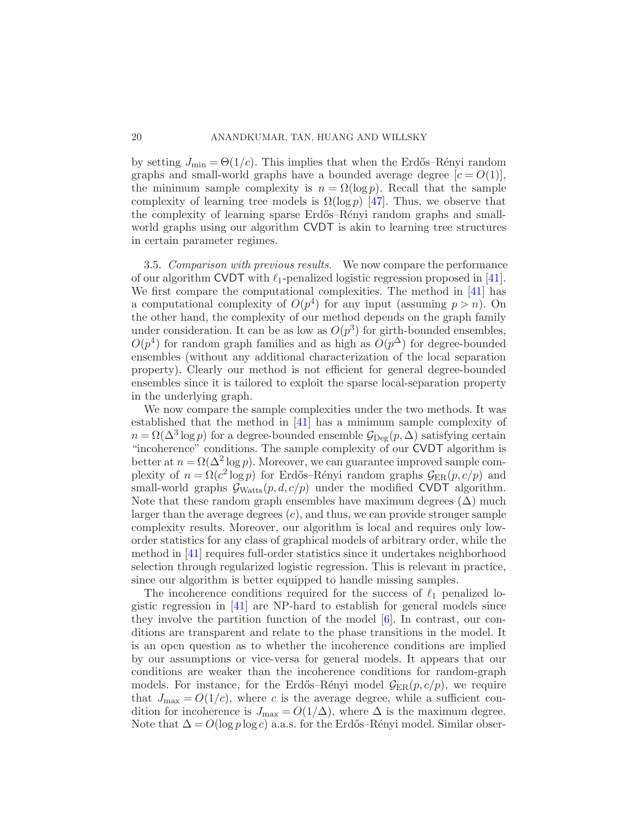by setting  $J_{\min} = \Theta(1/c)$ . This implies that when the Erdős–Rényi random graphs and small-world graphs have a bounded average degree  $[c = O(1)]$ , the minimum sample complexity is  $n = \Omega(\log p)$ . Recall that the sample complexity of learning tree models is  $\Omega(\log p)$  [\[47\]](#page-30-3). Thus, we observe that the complexity of learning sparse Erdős–Rényi random graphs and smallworld graphs using our algorithm CVDT is akin to learning tree structures in certain parameter regimes.

<span id="page-19-0"></span>3.5. Comparison with previous results. We now compare the performance of our algorithm CVDT with  $\ell_1$ -penalized logistic regression proposed in [\[41](#page-29-4)]. We first compare the computational complexities. The method in [\[41](#page-29-4)] has a computational complexity of  $O(p^4)$  for any input (assuming  $p > n$ ). On the other hand, the complexity of our method depends on the graph family under consideration. It can be as low as  $O(p^3)$  for girth-bounded ensembles,  $O(p^4)$  for random graph families and as high as  $O(p^4)$  for degree-bounded ensembles (without any additional characterization of the local separation property). Clearly our method is not efficient for general degree-bounded ensembles since it is tailored to exploit the sparse local-separation property in the underlying graph.

We now compare the sample complexities under the two methods. It was established that the method in [\[41\]](#page-29-4) has a minimum sample complexity of  $n = \Omega(\Delta^3 \log p)$  for a degree-bounded ensemble  $\mathcal{G}_{\text{Deg}}(p, \Delta)$  satisfying certain "incoherence" conditions. The sample complexity of our CVDT algorithm is better at  $n = \Omega(\Delta^2 \log p)$ . Moreover, we can guarantee improved sample complexity of  $n = \Omega(c^2 \log p)$  for Erdős–Rényi random graphs  $\mathcal{G}_{\text{ER}}(p, c/p)$  and small-world graphs  $\mathcal{G}_{Watts}(p, d, c/p)$  under the modified CVDT algorithm. Note that these random graph ensembles have maximum degrees  $(\Delta)$  much larger than the average degrees  $(c)$ , and thus, we can provide stronger sample complexity results. Moreover, our algorithm is local and requires only loworder statistics for any class of graphical models of arbitrary order, while the method in [\[41\]](#page-29-4) requires full-order statistics since it undertakes neighborhood selection through regularized logistic regression. This is relevant in practice, since our algorithm is better equipped to handle missing samples.

The incoherence conditions required for the success of  $\ell_1$  penalized logistic regression in [\[41](#page-29-4)] are NP-hard to establish for general models since they involve the partition function of the model  $[6]$ . In contrast, our conditions are transparent and relate to the phase transitions in the model. It is an open question as to whether the incoherence conditions are implied by our assumptions or vice-versa for general models. It appears that our conditions are weaker than the incoherence conditions for random-graph models. For instance, for the Erdős–Rényi model  $\mathcal{G}_{ER}(p, c/p)$ , we require that  $J_{\text{max}} = O(1/c)$ , where c is the average degree, while a sufficient condition for incoherence is  $J_{\text{max}} = O(1/\Delta)$ , where  $\Delta$  is the maximum degree. Note that  $\Delta = O(\log p \log c)$  a.a.s. for the Erdős–Rényi model. Similar obser-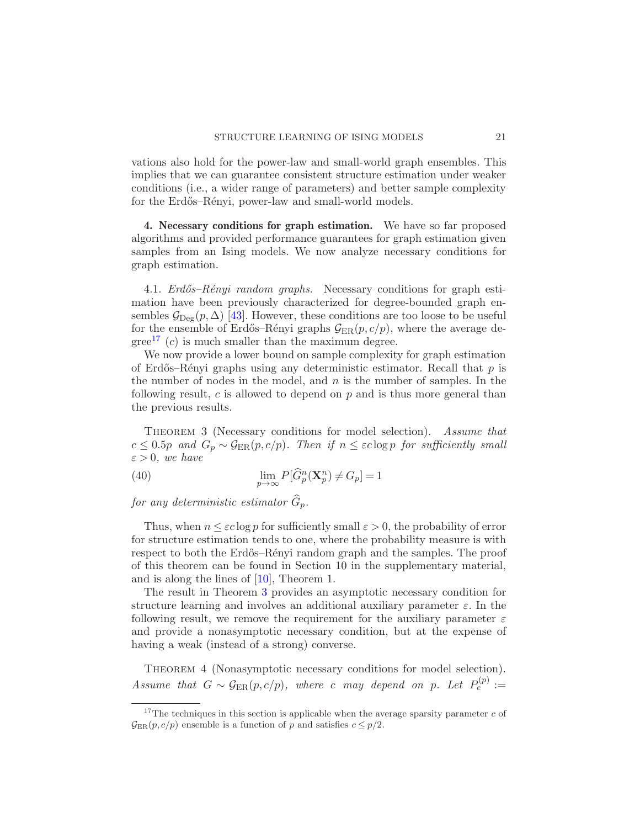vations also hold for the power-law and small-world graph ensembles. This implies that we can guarantee consistent structure estimation under weaker conditions (i.e., a wider range of parameters) and better sample complexity for the Erdős–Rényi, power-law and small-world models.

4. Necessary conditions for graph estimation. We have so far proposed algorithms and provided performance guarantees for graph estimation given samples from an Ising models. We now analyze necessary conditions for graph estimation.

4.1. *Erdős–Rényi random graphs.* Necessary conditions for graph esti-mation have been previously characterized for degree-bounded graph ensembles  $\mathcal{G}_{\text{Deg}}(p,\Delta)$  [\[43](#page-29-14)]. However, these conditions are too loose to be useful for the ensemble of Erdős–Rényi graphs  $\mathcal{G}_{\text{ER}}(p, c/p)$ , where the average de- $\text{gree}^{17}$  $\text{gree}^{17}$  $\text{gree}^{17}$  (c) is much smaller than the maximum degree.

We now provide a lower bound on sample complexity for graph estimation of Erdős–Rényi graphs using any deterministic estimator. Recall that  $p$  is the number of nodes in the model, and  $n$  is the number of samples. In the following result, c is allowed to depend on  $p$  and is thus more general than the previous results.

<span id="page-20-1"></span>THEOREM 3 (Necessary conditions for model selection). Assume that  $c \leq 0.5p$  and  $G_p \sim \mathcal{G}_{\text{ER}}(p, c/p)$ . Then if  $n \leq \varepsilon \log p$  for sufficiently small  $\varepsilon > 0$ , we have

(40) 
$$
\lim_{p \to \infty} P[\widehat{G}_p^n(\mathbf{X}_p^n) \neq G_p] = 1
$$

for any deterministic estimator  $\widehat{G}_p$ .

Thus, when  $n \leq \varepsilon \log p$  for sufficiently small  $\varepsilon > 0$ , the probability of error for structure estimation tends to one, where the probability measure is with respect to both the Erdős–Rényi random graph and the samples. The proof of this theorem can be found in Section 10 in the supplementary material, and is along the lines of [\[10](#page-28-6)], Theorem 1.

The result in Theorem [3](#page-20-1) provides an asymptotic necessary condition for structure learning and involves an additional auxiliary parameter  $\varepsilon$ . In the following result, we remove the requirement for the auxiliary parameter  $\varepsilon$ and provide a nonasymptotic necessary condition, but at the expense of having a weak (instead of a strong) converse.

<span id="page-20-2"></span>THEOREM 4 (Nonasymptotic necessary conditions for model selection). Assume that  $G \sim \mathcal{G}_{\text{ER}}(p,c/p)$ , where c may depend on p. Let  $P_e^{(p)} :=$ 

<span id="page-20-0"></span><sup>&</sup>lt;sup>17</sup>The techniques in this section is applicable when the average sparsity parameter  $c$  of  $\mathcal{G}_{\text{ER}}(p, c/p)$  ensemble is a function of p and satisfies  $c \leq p/2$ .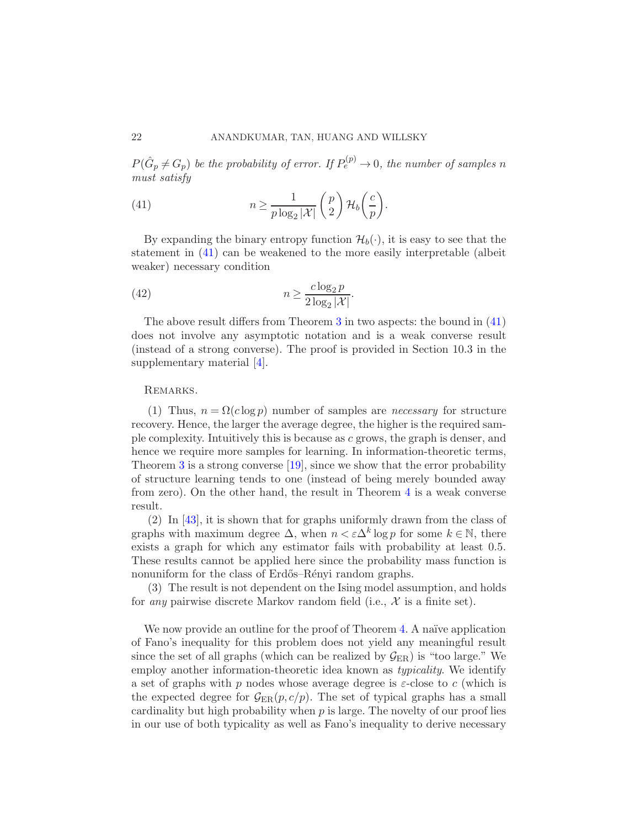$P(\hat G_p\neq G_p)$  be the probability of error. If  $P_e^{(p)}\to 0$ , the number of samples n must satisfy

<span id="page-21-0"></span>(41) 
$$
n \geq \frac{1}{p \log_2 |\mathcal{X}|} {p \choose 2} \mathcal{H}_b \left( \frac{c}{p} \right).
$$

By expanding the binary entropy function  $\mathcal{H}_b(\cdot)$ , it is easy to see that the statement in [\(41\)](#page-21-0) can be weakened to the more easily interpretable (albeit weaker) necessary condition

(42) 
$$
n \geq \frac{c \log_2 p}{2 \log_2 |\mathcal{X}|}.
$$

The above result differs from Theorem [3](#page-20-1) in two aspects: the bound in [\(41\)](#page-21-0) does not involve any asymptotic notation and is a weak converse result (instead of a strong converse). The proof is provided in Section 10.3 in the supplementary material [\[4\]](#page-27-3).

## Remarks.

(1) Thus,  $n = \Omega(c \log p)$  number of samples are *necessary* for structure recovery. Hence, the larger the average degree, the higher is the required sample complexity. Intuitively this is because as c grows, the graph is denser, and hence we require more samples for learning. In information-theoretic terms, Theorem [3](#page-20-1) is a strong converse  $[19]$ , since we show that the error probability of structure learning tends to one (instead of being merely bounded away from zero). On the other hand, the result in Theorem [4](#page-20-2) is a weak converse result.

(2) In [\[43\]](#page-29-14), it is shown that for graphs uniformly drawn from the class of graphs with maximum degree  $\Delta$ , when  $n < \varepsilon \Delta^k \log p$  for some  $k \in \mathbb{N}$ , there exists a graph for which any estimator fails with probability at least 0.5. These results cannot be applied here since the probability mass function is nonuniform for the class of Erdős–Rényi random graphs.

(3) The result is not dependent on the Ising model assumption, and holds for any pairwise discrete Markov random field (i.e.,  $\mathcal{X}$  is a finite set).

We now provide an outline for the proof of Theorem [4.](#page-20-2) A naïve application of Fano's inequality for this problem does not yield any meaningful result since the set of all graphs (which can be realized by  $\mathcal{G}_{\text{ER}}$ ) is "too large." We employ another information-theoretic idea known as *typicality*. We identify a set of graphs with p nodes whose average degree is  $\varepsilon$ -close to c (which is the expected degree for  $\mathcal{G}_{\text{ER}}(p, c/p)$ . The set of typical graphs has a small cardinality but high probability when  $p$  is large. The novelty of our proof lies in our use of both typicality as well as Fano's inequality to derive necessary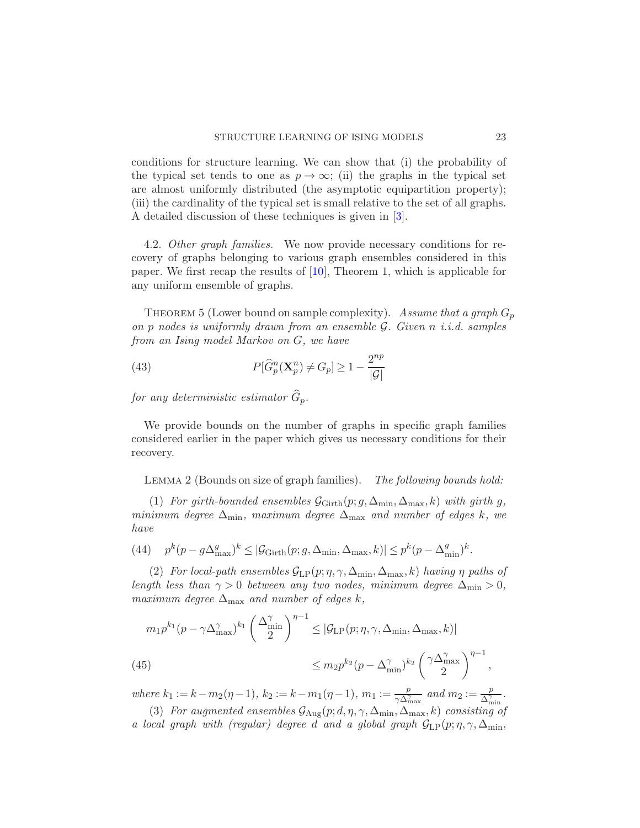conditions for structure learning. We can show that (i) the probability of the typical set tends to one as  $p \to \infty$ ; (ii) the graphs in the typical set are almost uniformly distributed (the asymptotic equipartition property); (iii) the cardinality of the typical set is small relative to the set of all graphs. A detailed discussion of these techniques is given in [\[3](#page-27-4)].

4.2. Other graph families. We now provide necessary conditions for recovery of graphs belonging to various graph ensembles considered in this paper. We first recap the results of [\[10\]](#page-28-6), Theorem 1, which is applicable for any uniform ensemble of graphs.

<span id="page-22-0"></span>THEOREM 5 (Lower bound on sample complexity). Assume that a graph  $G_p$ on p nodes is uniformly drawn from an ensemble G. Given n i.i.d. samples from an Ising model Markov on G, we have

(43) 
$$
P[\widehat{G}_p^n(\mathbf{X}_p^n) \neq G_p] \ge 1 - \frac{2^{np}}{|\mathcal{G}|}
$$

for any deterministic estimator  $\widehat{G}_p$ .

We provide bounds on the number of graphs in specific graph families considered earlier in the paper which gives us necessary conditions for their recovery.

LEMMA 2 (Bounds on size of graph families). The following bounds hold:

(1) For girth-bounded ensembles  $\mathcal{G}_{\text{Girth}}(p; g, \Delta_{\text{min}}, \Delta_{\text{max}}, k)$  with girth g, minimum degree  $\Delta_{\min}$ , maximum degree  $\Delta_{\max}$  and number of edges k, we have

(44) 
$$
p^k(p - g\Delta_{\text{max}}^g)^k \leq |\mathcal{G}_{\text{Girth}}(p; g, \Delta_{\text{min}}, \Delta_{\text{max}}, k)| \leq p^k(p - \Delta_{\text{min}}^g)^k.
$$

(2) For local-path ensembles  $\mathcal{G}_{LP}(p;\eta,\gamma,\Delta_{\min},\Delta_{\max},k)$  having  $\eta$  paths of length less than  $\gamma > 0$  between any two nodes, minimum degree  $\Delta_{\min} > 0$ , maximum degree  $\Delta_{\text{max}}$  and number of edges k,

$$
m_1 p^{k_1} (p - \gamma \Delta_{\max}^{\gamma})^{k_1} \left(\frac{\Delta_{\min}^{\gamma}}{2}\right)^{\eta - 1} \leq |\mathcal{G}_{\mathrm{LP}}(p; \eta, \gamma, \Delta_{\min}, \Delta_{\max}, k)|
$$
  
(45)  

$$
\leq m_2 p^{k_2} (p - \Delta_{\min}^{\gamma})^{k_2} \left(\frac{\gamma \Delta_{\max}^{\gamma}}{2}\right)^{\eta - 1},
$$

where  $k_1 := k - m_2(\eta - 1)$ ,  $k_2 := k - m_1(\eta - 1)$ ,  $m_1 := \frac{p}{\sqrt{\lambda^2}}$  $\frac{p}{\gamma \Delta_{\max}^{\gamma}}$  and  $m_2 := \frac{p}{\Delta_{\min}^{\gamma}}$  $\frac{p}{\Delta_{\min}^{\gamma}}$ .

(3) For augmented ensembles  $\mathcal{G}_{\text{Aug}}(p; d, \eta, \gamma, \Delta_{\text{min}}, \Delta_{\text{max}}, k)$  consisting of a local graph with (regular) degree d and a global graph  $G_{LP}(p; \eta, \gamma, \Delta_{\min},$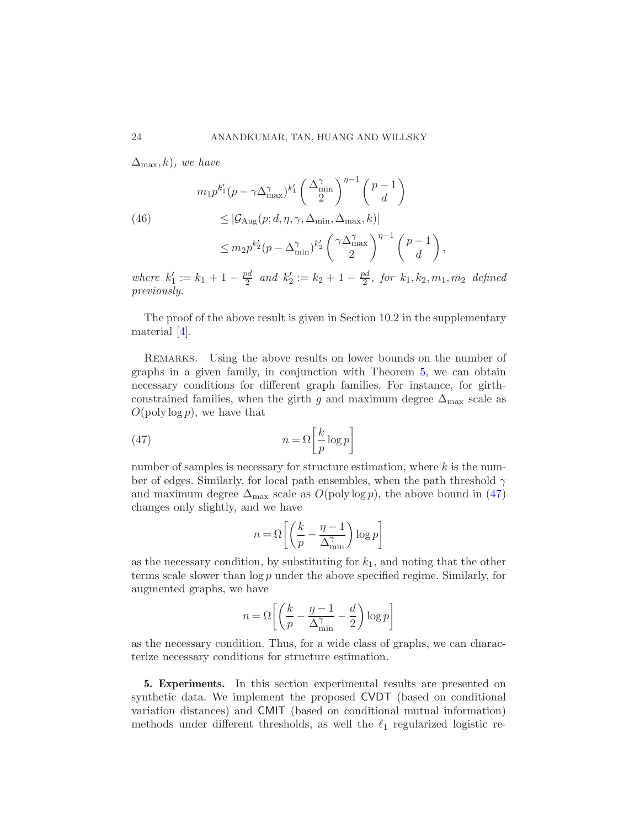$\Delta_{\text{max}}(k)$ , we have

(46)  
\n
$$
m_1 p^{k'_1} (p - \gamma \Delta_{\max}^{\gamma})^{k'_1} \left(\frac{\Delta_{\min}^{\gamma}}{2}\right)^{\eta - 1} \left(\frac{p - 1}{d}\right)
$$
\n
$$
\leq |\mathcal{G}_{\text{Aug}}(p; d, \eta, \gamma, \Delta_{\min}, \Delta_{\max}, k)|
$$
\n
$$
\leq m_2 p^{k'_2} (p - \Delta_{\min}^{\gamma})^{k'_2} \left(\frac{\gamma \Delta_{\max}^{\gamma}}{2}\right)^{\eta - 1} \left(\frac{p - 1}{d}\right)
$$

where  $k'_1 := k_1 + 1 - \frac{pd}{2}$  $\frac{bd}{2}$  and  $k'_2 := k_2 + 1 - \frac{pd}{2}$  $\frac{a_0}{2}$ , for  $k_1, k_2, m_1, m_2$  defined previously.

,

The proof of the above result is given in Section 10.2 in the supplementary material [\[4](#page-27-3)].

Remarks. Using the above results on lower bounds on the number of graphs in a given family, in conjunction with Theorem [5,](#page-22-0) we can obtain necessary conditions for different graph families. For instance, for girthconstrained families, when the girth g and maximum degree  $\Delta_{\text{max}}$  scale as  $O(poly log p)$ , we have that

(47) 
$$
n = \Omega \left[ \frac{k}{p} \log p \right]
$$

number of samples is necessary for structure estimation, where  $k$  is the number of edges. Similarly, for local path ensembles, when the path threshold  $\gamma$ and maximum degree  $\Delta_{\text{max}}$  scale as  $O(\text{poly}\log p)$ , the above bound in [\(47\)](#page-23-1) changes only slightly, and we have

<span id="page-23-1"></span>
$$
n = \Omega\!\left[\left(\frac{k}{p} - \frac{\eta - 1}{\Delta_{\min}^\gamma}\right)\log p\right]
$$

as the necessary condition, by substituting for  $k_1$ , and noting that the other terms scale slower than  $\log p$  under the above specified regime. Similarly, for augmented graphs, we have

$$
n = \Omega \left[ \left( \frac{k}{p} - \frac{\eta - 1}{\Delta_{\min}^{\gamma}} - \frac{d}{2} \right) \log p \right]
$$

as the necessary condition. Thus, for a wide class of graphs, we can characterize necessary conditions for structure estimation.

<span id="page-23-0"></span>5. Experiments. In this section experimental results are presented on synthetic data. We implement the proposed CVDT (based on conditional variation distances) and CMIT (based on conditional mutual information) methods under different thresholds, as well the  $\ell_1$  regularized logistic re-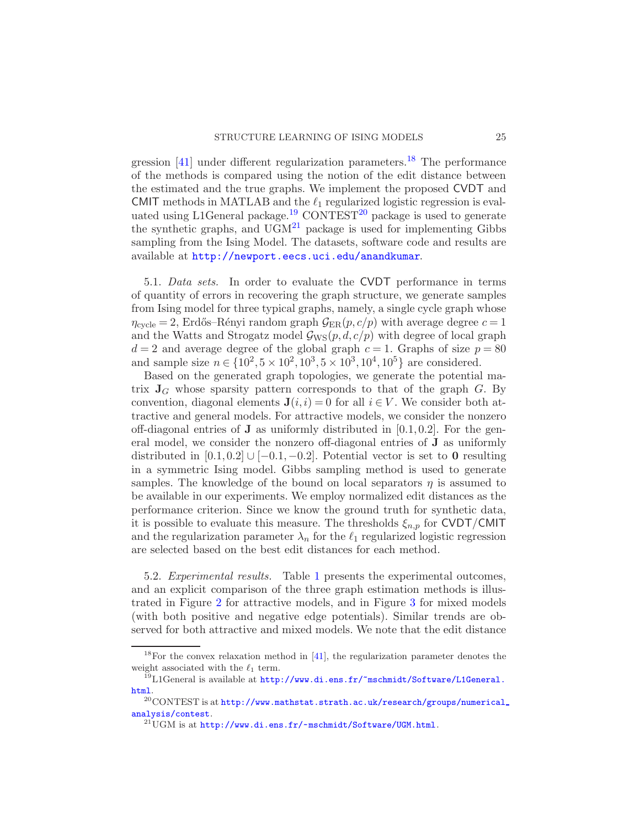gression  $[41]$  under different regularization parameters.<sup>[18](#page-24-0)</sup> The performance of the methods is compared using the notion of the edit distance between the estimated and the true graphs. We implement the proposed CVDT and CMIT methods in MATLAB and the  $\ell_1$  regularized logistic regression is eval-uated using L1General package.<sup>[19](#page-24-1)</sup> CONTEST<sup>[20](#page-24-2)</sup> package is used to generate the synthetic graphs, and  $\overrightarrow{UGM}^{21}$  $\overrightarrow{UGM}^{21}$  $\overrightarrow{UGM}^{21}$  package is used for implementing Gibbs sampling from the Ising Model. The datasets, software code and results are available at <http://newport.eecs.uci.edu/anandkumar>.

5.1. Data sets. In order to evaluate the CVDT performance in terms of quantity of errors in recovering the graph structure, we generate samples from Ising model for three typical graphs, namely, a single cycle graph whose  $\eta_{\text{cycle}} = 2$ , Erdős–Rényi random graph  $\mathcal{G}_{\text{ER}}(p, c/p)$  with average degree  $c = 1$ and the Watts and Strogatz model  $\mathcal{G}_{\text{WS}}(p,d,c/p)$  with degree of local graph  $d = 2$  and average degree of the global graph  $c = 1$ . Graphs of size  $p = 80$ and sample size  $n \in \{10^2, 5 \times 10^2, 10^3, 5 \times 10^3, 10^4, 10^5\}$  are considered.

Based on the generated graph topologies, we generate the potential matrix  $J_G$  whose sparsity pattern corresponds to that of the graph  $G$ . By convention, diagonal elements  $\mathbf{J}(i, i) = 0$  for all  $i \in V$ . We consider both attractive and general models. For attractive models, we consider the nonzero off-diagonal entries of **J** as uniformly distributed in  $[0.1, 0.2]$ . For the general model, we consider the nonzero off-diagonal entries of J as uniformly distributed in  $[0.1, 0.2] \cup [-0.1, -0.2]$ . Potential vector is set to 0 resulting in a symmetric Ising model. Gibbs sampling method is used to generate samples. The knowledge of the bound on local separators  $\eta$  is assumed to be available in our experiments. We employ normalized edit distances as the performance criterion. Since we know the ground truth for synthetic data, it is possible to evaluate this measure. The thresholds  $\xi_{n,p}$  for CVDT/CMIT and the regularization parameter  $\lambda_n$  for the  $\ell_1$  regularized logistic regression are selected based on the best edit distances for each method.

5.2. Experimental results. Table [1](#page-25-0) presents the experimental outcomes, and an explicit comparison of the three graph estimation methods is illustrated in Figure [2](#page-26-0) for attractive models, and in Figure [3](#page-27-6) for mixed models (with both positive and negative edge potentials). Similar trends are observed for both attractive and mixed models. We note that the edit distance

<span id="page-24-0"></span><sup>18</sup>For the convex relaxation method in [\[41\]](#page-29-4), the regularization parameter denotes the weight associated with the  $\ell_1$  term.

<span id="page-24-1"></span> $^{19}{\rm LI}$ General is available at  ${\tt http://www.di.ens.fr/~mschmidt/Software/L1General}$  . [html](http://www.di.ens.fr/~mschmidt/Software/L1General.html).

 $^{20}$ CONTEST is at [http://www.mathstat.strath.ac.uk/research/groups/numerical](http://www.mathstat.strath.ac.uk/research/groups/numerical_analysis/contest)\_ [analysis/contest](http://www.mathstat.strath.ac.uk/research/groups/numerical_analysis/contest).

<span id="page-24-3"></span><span id="page-24-2"></span> $^{21}$ UGM is at <http://www.di.ens.fr/~mschmidt/Software/UGM.html>.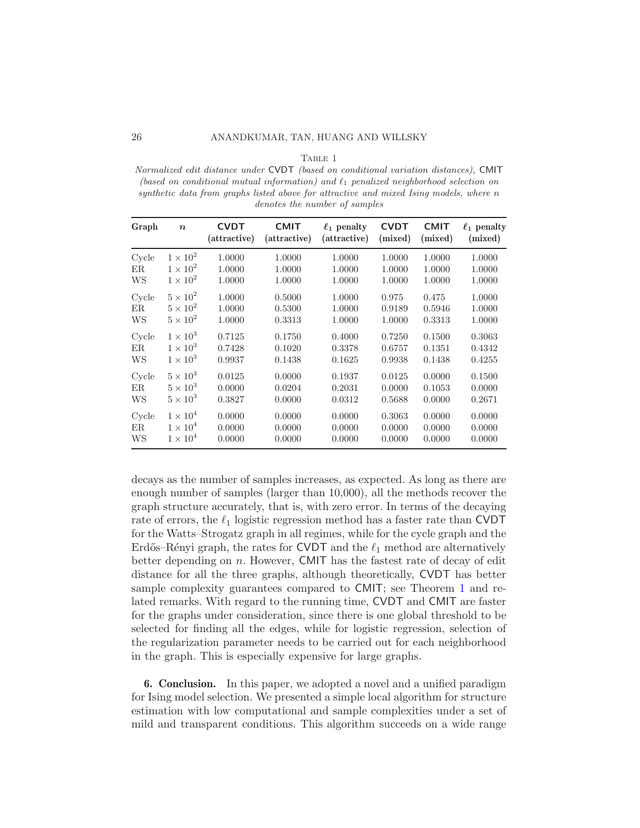TABLE 1

<span id="page-25-0"></span>*Normalized edit distance under* CVDT *(based on conditional variation distances),* CMIT *(based on conditional mutual information) and* ℓ<sup>1</sup> *penalized neighborhood selection on synthetic data from graphs listed above for attractive and mixed Ising models, where* n *denotes the number of samples*

| Graph | $\boldsymbol{n}$ | <b>CVDT</b><br>(attractive) | <b>CMIT</b><br>(attractive) | $\ell_1$ penalty<br>(attractive) | <b>CVDT</b><br>(mixed) | <b>CMIT</b><br>(mixed) | $\ell_1$ penalty<br>(mixed) |
|-------|------------------|-----------------------------|-----------------------------|----------------------------------|------------------------|------------------------|-----------------------------|
| Cycle | $1 \times 10^2$  | 1.0000                      | 1.0000                      | 1.0000                           | 1.0000                 | 1.0000                 | 1.0000                      |
| ER.   | $1 \times 10^2$  | 1.0000                      | 1.0000                      | 1.0000                           | 1.0000                 | 1.0000                 | 1.0000                      |
| WS    | $1\times10^2$    | 1.0000                      | 1.0000                      | 1.0000                           | 1.0000                 | 1.0000                 | 1.0000                      |
| Cycle | $5 \times 10^2$  | 1.0000                      | 0.5000                      | 1.0000                           | 0.975                  | 0.475                  | 1.0000                      |
| ER    | $5 \times 10^2$  | 1.0000                      | 0.5300                      | 1.0000                           | 0.9189                 | 0.5946                 | 1.0000                      |
| WS    | $5 \times 10^2$  | 1.0000                      | 0.3313                      | 1.0000                           | 1.0000                 | 0.3313                 | 1.0000                      |
| Cycle | $1\times10^3$    | 0.7125                      | 0.1750                      | 0.4000                           | 0.7250                 | 0.1500                 | 0.3063                      |
| ER.   | $1\times10^3$    | 0.7428                      | 0.1020                      | 0.3378                           | 0.6757                 | 0.1351                 | 0.4342                      |
| WS    | $1\times10^3$    | 0.9937                      | 0.1438                      | 0.1625                           | 0.9938                 | 0.1438                 | 0.4255                      |
| Cycle | $5 \times 10^3$  | 0.0125                      | 0.0000                      | 0.1937                           | 0.0125                 | 0.0000                 | 0.1500                      |
| ER.   | $5\times10^3$    | 0.0000                      | 0.0204                      | 0.2031                           | 0.0000                 | 0.1053                 | 0.0000                      |
| WS    | $5\times10^3$    | 0.3827                      | 0.0000                      | 0.0312                           | 0.5688                 | 0.0000                 | 0.2671                      |
| Cycle | $1 \times 10^4$  | 0.0000                      | 0.0000                      | 0.0000                           | 0.3063                 | 0.0000                 | 0.0000                      |
| ER.   | $1\times10^4$    | 0.0000                      | 0.0000                      | 0.0000                           | 0.0000                 | 0.0000                 | 0.0000                      |
| WS    | $1\times10^4$    | 0.0000                      | 0.0000                      | 0.0000                           | 0.0000                 | 0.0000                 | 0.0000                      |

decays as the number of samples increases, as expected. As long as there are enough number of samples (larger than 10,000), all the methods recover the graph structure accurately, that is, with zero error. In terms of the decaying rate of errors, the  $\ell_1$  logistic regression method has a faster rate than CVDT for the Watts–Strogatz graph in all regimes, while for the cycle graph and the Erdős–Rényi graph, the rates for CVDT and the  $\ell_1$  method are alternatively better depending on n. However, CMIT has the fastest rate of decay of edit distance for all the three graphs, although theoretically, CVDT has better sample complexity guarantees compared to CMIT; see Theorem [1](#page-11-3) and related remarks. With regard to the running time, CVDT and CMIT are faster for the graphs under consideration, since there is one global threshold to be selected for finding all the edges, while for logistic regression, selection of the regularization parameter needs to be carried out for each neighborhood in the graph. This is especially expensive for large graphs.

6. Conclusion. In this paper, we adopted a novel and a unified paradigm for Ising model selection. We presented a simple local algorithm for structure estimation with low computational and sample complexities under a set of mild and transparent conditions. This algorithm succeeds on a wide range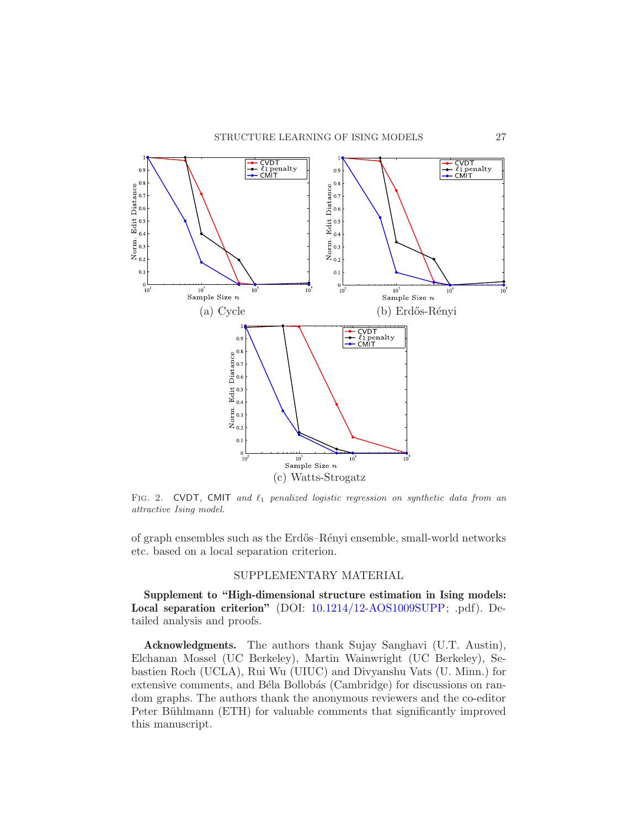

<span id="page-26-0"></span>FIG. 2. CVDT, CMIT and  $\ell_1$  penalized logistic regression on synthetic data from an *attractive Ising model.*

of graph ensembles such as the Erdős–Rényi ensemble, small-world networks etc. based on a local separation criterion.

## SUPPLEMENTARY MATERIAL

Supplement to "High-dimensional structure estimation in Ising models: Local separation criterion" (DOI: [10.1214/12-AOS1009SUPP;](http://dx.doi.org/10.1214/12-AOS1009SUPP) .pdf). Detailed analysis and proofs.

Acknowledgments. The authors thank Sujay Sanghavi (U.T. Austin), Elchanan Mossel (UC Berkeley), Martin Wainwright (UC Berkeley), Sebastien Roch (UCLA), Rui Wu (UIUC) and Divyanshu Vats (U. Minn.) for extensive comments, and Béla Bollobás (Cambridge) for discussions on random graphs. The authors thank the anonymous reviewers and the co-editor Peter Bühlmann (ETH) for valuable comments that significantly improved this manuscript.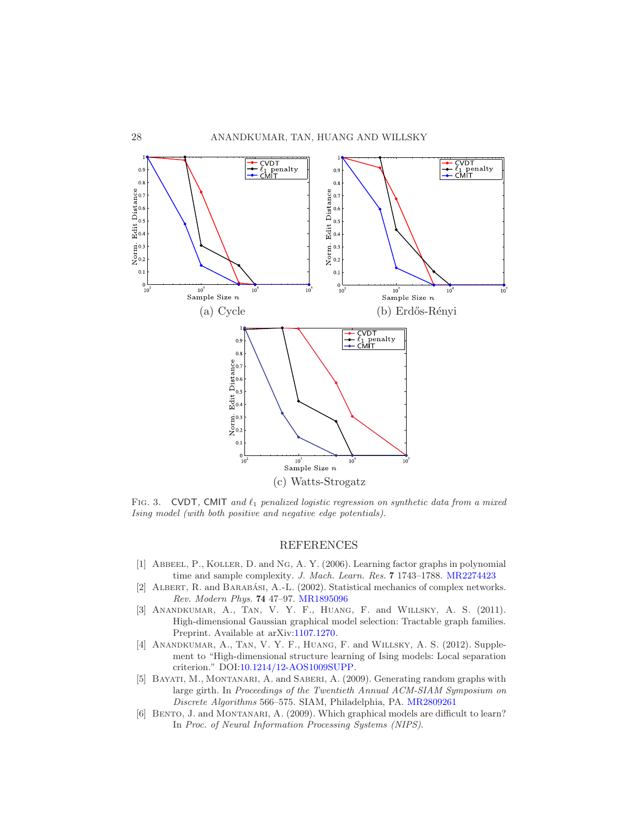

<span id="page-27-6"></span>FIG. 3. CVDT, CMIT and  $\ell_1$  penalized logistic regression on synthetic data from a mixed *Ising model (with both positive and negative edge potentials).*

### REFERENCES

- <span id="page-27-2"></span>[1] Abbeel, P., Koller, D. and Ng, A. Y. (2006). Learning factor graphs in polynomial time and sample complexity. *J. Mach. Learn. Res.* 7 1743–1788. [MR2274423](http://www.ams.org/mathscinet-getitem?mr=2274423)
- <span id="page-27-0"></span>[2] ALBERT, R. and BARABÁSI, A.-L. (2002). Statistical mechanics of complex networks. *Rev. Modern Phys.* 74 47–97. [MR1895096](http://www.ams.org/mathscinet-getitem?mr=1895096)
- <span id="page-27-4"></span>[3] Anandkumar, A., Tan, V. Y. F., Huang, F. and Willsky, A. S. (2011). High-dimensional Gaussian graphical model selection: Tractable graph families. Preprint. Available at arXiv[:1107.1270.](http://arxiv.org/abs/1107.1270)
- <span id="page-27-3"></span>[4] ANANDKUMAR, A., TAN, V. Y. F., HUANG, F. and WILLSKY, A. S. (2012). Supplement to "High-dimensional structure learning of Ising models: Local separation criterion." DOI[:10.1214/12-AOS1009SUPP.](http://dx.doi.org/10.1214/12-AOS1009SUPP)
- <span id="page-27-5"></span>[5] Bayati, M., Montanari, A. and Saberi, A. (2009). Generating random graphs with large girth. In *Proceedings of the Twentieth Annual ACM-SIAM Symposium on Discrete Algorithms* 566–575. SIAM, Philadelphia, PA. [MR2809261](http://www.ams.org/mathscinet-getitem?mr=2809261)
- <span id="page-27-1"></span>[6] BENTO, J. and MONTANARI, A. (2009). Which graphical models are difficult to learn? In *Proc. of Neural Information Processing Systems (NIPS)*.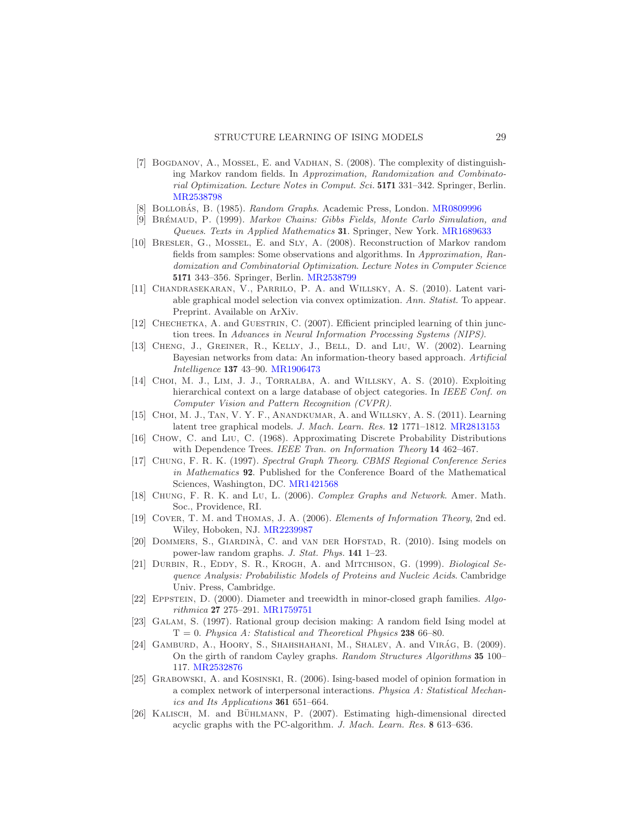- <span id="page-28-4"></span>[7] Bogdanov, A., Mossel, E. and Vadhan, S. (2008). The complexity of distinguishing Markov random fields. In *Approximation, Randomization and Combinatorial Optimization*. *Lecture Notes in Comput. Sci.* 5171 331–342. Springer, Berlin. [MR2538798](http://www.ams.org/mathscinet-getitem?mr=2538798)
- <span id="page-28-8"></span>[8] Bollobas, B. ´ (1985). *Random Graphs*. Academic Press, London. [MR0809996](http://www.ams.org/mathscinet-getitem?mr=0809996)
- <span id="page-28-13"></span>[9] Br´emaud, P. (1999). *Markov Chains: Gibbs Fields, Monte Carlo Simulation, and Queues*. *Texts in Applied Mathematics* 31. Springer, New York. [MR1689633](http://www.ams.org/mathscinet-getitem?mr=1689633)
- <span id="page-28-6"></span>[10] Bresler, G., Mossel, E. and Sly, A. (2008). Reconstruction of Markov random fields from samples: Some observations and algorithms. In *Approximation, Randomization and Combinatorial Optimization*. *Lecture Notes in Computer Science* 5171 343–356. Springer, Berlin. [MR2538799](http://www.ams.org/mathscinet-getitem?mr=2538799)
- <span id="page-28-7"></span>[11] Chandrasekaran, V., Parrilo, P. A. and Willsky, A. S. (2010). Latent variable graphical model selection via convex optimization. *Ann. Statist.* To appear. Preprint. Available on ArXiv.
- <span id="page-28-11"></span>[12] CHECHETKA, A. and GUESTRIN, C. (2007). Efficient principled learning of thin junction trees. In *Advances in Neural Information Processing Systems (NIPS)*.
- <span id="page-28-12"></span>[13] Cheng, J., Greiner, R., Kelly, J., Bell, D. and Liu, W. (2002). Learning Bayesian networks from data: An information-theory based approach. *Artificial Intelligence* 137 43–90. [MR1906473](http://www.ams.org/mathscinet-getitem?mr=1906473)
- <span id="page-28-0"></span>[14] CHOI, M. J., LIM, J. J., TORRALBA, A. and WILLSKY, A. S. (2010). Exploiting hierarchical context on a large database of object categories. In *IEEE Conf. on Computer Vision and Pattern Recognition (CVPR)*.
- <span id="page-28-2"></span>[15] CHOI, M. J., TAN, V. Y. F., ANANDKUMAR, A. and WILLSKY, A. S. (2011). Learning latent tree graphical models. *J. Mach. Learn. Res.* 12 1771–1812. [MR2813153](http://www.ams.org/mathscinet-getitem?mr=2813153)
- <span id="page-28-5"></span>[16] Chow, C. and Liu, C. (1968). Approximating Discrete Probability Distributions with Dependence Trees. *IEEE Tran. on Information Theory* 14 462–467.
- <span id="page-28-16"></span>[17] Chung, F. R. K. (1997). *Spectral Graph Theory*. *CBMS Regional Conference Series in Mathematics* 92. Published for the Conference Board of the Mathematical Sciences, Washington, DC. [MR1421568](http://www.ams.org/mathscinet-getitem?mr=1421568)
- <span id="page-28-9"></span>[18] Chung, F. R. K. and Lu, L. (2006). *Complex Graphs and Network*. Amer. Math. Soc., Providence, RI.
- <span id="page-28-19"></span>[19] Cover, T. M. and Thomas, J. A. (2006). *Elements of Information Theory*, 2nd ed. Wiley, Hoboken, NJ. [MR2239987](http://www.ams.org/mathscinet-getitem?mr=2239987)
- <span id="page-28-18"></span>[20] DOMMERS, S., GIARDINA, C. and VAN DER HOFSTAD, R. (2010). Ising models on power-law random graphs. *J. Stat. Phys.* 141 1–23.
- <span id="page-28-1"></span>[21] Durbin, R., Eddy, S. R., Krogh, A. and Mitchison, G. (1999). *Biological Sequence Analysis: Probabilistic Models of Proteins and Nucleic Acids*. Cambridge Univ. Press, Cambridge.
- <span id="page-28-14"></span>[22] Eppstein, D. (2000). Diameter and treewidth in minor-closed graph families. *Algorithmica* 27 275–291. [MR1759751](http://www.ams.org/mathscinet-getitem?mr=1759751)
- <span id="page-28-10"></span>[23] Galam, S. (1997). Rational group decision making: A random field Ising model at T = 0. *Physica A: Statistical and Theoretical Physics* 238 66–80.
- <span id="page-28-17"></span>[24] GAMBURD, A., HOORY, S., SHAHSHAHANI, M., SHALEV, A. and VIRÁG, B. (2009). On the girth of random Cayley graphs. *Random Structures Algorithms* 35 100– 117. [MR2532876](http://www.ams.org/mathscinet-getitem?mr=2532876)
- <span id="page-28-3"></span>[25] Grabowski, A. and Kosinski, R. (2006). Ising-based model of opinion formation in a complex network of interpersonal interactions. *Physica A: Statistical Mechanics and Its Applications* 361 651–664.
- <span id="page-28-15"></span>[26] KALISCH, M. and BÜHLMANN, P. (2007). Estimating high-dimensional directed acyclic graphs with the PC-algorithm. *J. Mach. Learn. Res.* 8 613–636.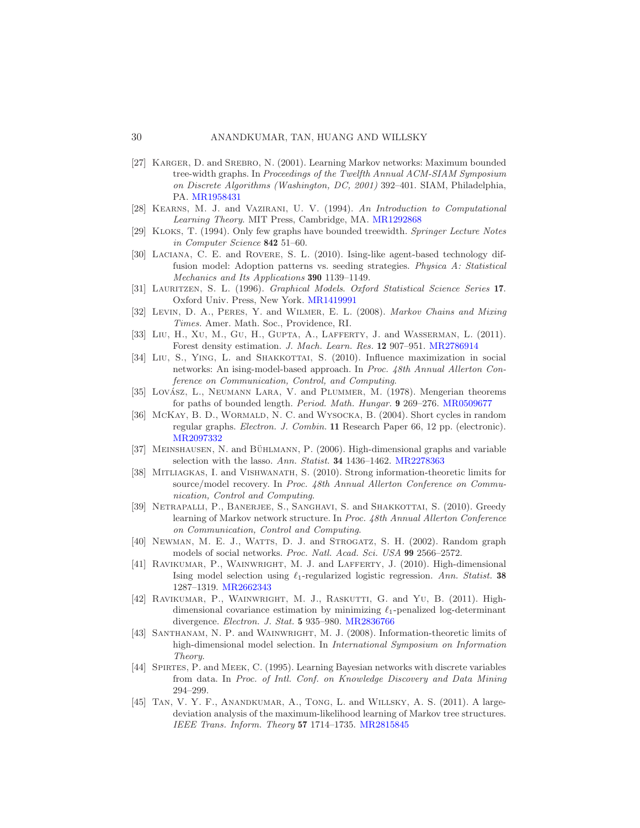#### 30 ANANDKUMAR, TAN, HUANG AND WILLSKY

- <span id="page-29-1"></span>[27] KARGER, D. and SREBRO, N. (2001). Learning Markov networks: Maximum bounded tree-width graphs. In *Proceedings of the Twelfth Annual ACM-SIAM Symposium on Discrete Algorithms (Washington, DC, 2001)* 392–401. SIAM, Philadelphia, PA. [MR1958431](http://www.ams.org/mathscinet-getitem?mr=1958431)
- <span id="page-29-16"></span>[28] Kearns, M. J. and Vazirani, U. V. (1994). *An Introduction to Computational Learning Theory*. MIT Press, Cambridge, MA. [MR1292868](http://www.ams.org/mathscinet-getitem?mr=1292868)
- <span id="page-29-12"></span>[29] Kloks, T. (1994). Only few graphs have bounded treewidth. *Springer Lecture Notes in Computer Science* 842 51–60.
- <span id="page-29-0"></span>[30] Laciana, C. E. and Rovere, S. L. (2010). Ising-like agent-based technology diffusion model: Adoption patterns vs. seeding strategies. *Physica A: Statistical Mechanics and Its Applications* 390 1139–1149.
- <span id="page-29-15"></span>[31] Lauritzen, S. L. (1996). *Graphical Models*. *Oxford Statistical Science Series* 17. Oxford Univ. Press, New York. [MR1419991](http://www.ams.org/mathscinet-getitem?mr=1419991)
- <span id="page-29-8"></span>[32] Levin, D. A., Peres, Y. and Wilmer, E. L. (2008). *Markov Chains and Mixing Times.* Amer. Math. Soc., Providence, RI.
- <span id="page-29-10"></span>[33] LIU, H., XU, M., GU, H., GUPTA, A., LAFFERTY, J. and WASSERMAN, L. (2011). Forest density estimation. *J. Mach. Learn. Res.* 12 907–951. [MR2786914](http://www.ams.org/mathscinet-getitem?mr=2786914)
- <span id="page-29-7"></span>[34] LIU, S., YING, L. and SHAKKOTTAI, S. (2010). Influence maximization in social networks: An ising-model-based approach. In *Proc. 48th Annual Allerton Conference on Communication, Control, and Computing*.
- <span id="page-29-18"></span>[35] Lovász, L., Neumann Lara, V. and Plummer, M. (1978). Mengerian theorems for paths of bounded length. *Period. Math. Hungar.* 9 269–276. [MR0509677](http://www.ams.org/mathscinet-getitem?mr=0509677)
- <span id="page-29-17"></span>[36] McKay, B. D., WORMALD, N. C. and WYSOCKA, B. (2004). Short cycles in random regular graphs. *Electron. J. Combin.* 11 Research Paper 66, 12 pp. (electronic). [MR2097332](http://www.ams.org/mathscinet-getitem?mr=2097332)
- <span id="page-29-3"></span>[37] MEINSHAUSEN, N. and BÜHLMANN, P. (2006). High-dimensional graphs and variable selection with the lasso. *Ann. Statist.* 34 1436–1462. [MR2278363](http://www.ams.org/mathscinet-getitem?mr=2278363)
- <span id="page-29-13"></span>[38] Mitliagkas, I. and Vishwanath, S. (2010). Strong information-theoretic limits for source/model recovery. In *Proc. 48th Annual Allerton Conference on Communication, Control and Computing*.
- <span id="page-29-2"></span>[39] NETRAPALLI, P., BANERJEE, S., SANGHAVI, S. and SHAKKOTTAI, S. (2010). Greedy learning of Markov network structure. In *Proc. 48th Annual Allerton Conference on Communication, Control and Computing*.
- <span id="page-29-6"></span>[40] Newman, M. E. J., Watts, D. J. and Strogatz, S. H. (2002). Random graph models of social networks. *Proc. Natl. Acad. Sci. USA* 99 2566–2572.
- <span id="page-29-4"></span>[41] RAVIKUMAR, P., WAINWRIGHT, M. J. and LAFFERTY, J. (2010). High-dimensional Ising model selection using ℓ1-regularized logistic regression. *Ann. Statist.* 38 1287–1319. [MR2662343](http://www.ams.org/mathscinet-getitem?mr=2662343)
- <span id="page-29-5"></span>[42] RAVIKUMAR, P., WAINWRIGHT, M. J., RASKUTTI, G. and YU, B. (2011). Highdimensional covariance estimation by minimizing  $\ell_1$ -penalized log-determinant divergence. *Electron. J. Stat.* 5 935–980. [MR2836766](http://www.ams.org/mathscinet-getitem?mr=2836766)
- <span id="page-29-14"></span>[43] SANTHANAM, N. P. and WAINWRIGHT, M. J. (2008). Information-theoretic limits of high-dimensional model selection. In *International Symposium on Information Theory*.
- <span id="page-29-11"></span>[44] Spirtes, P. and Meek, C. (1995). Learning Bayesian networks with discrete variables from data. In *Proc. of Intl. Conf. on Knowledge Discovery and Data Mining* 294–299.
- <span id="page-29-9"></span>[45] TAN, V. Y. F., ANANDKUMAR, A., TONG, L. and WILLSKY, A. S. (2011). A largedeviation analysis of the maximum-likelihood learning of Markov tree structures. *IEEE Trans. Inform. Theory* 57 1714–1735. [MR2815845](http://www.ams.org/mathscinet-getitem?mr=2815845)